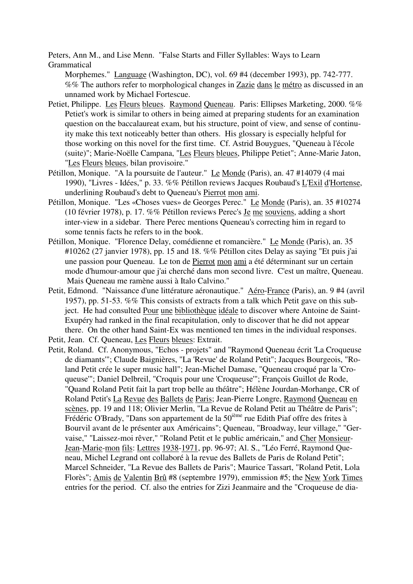Peters, Ann M., and Lise Menn. "False Starts and Filler Syllables: Ways to Learn Grammatical

Morphemes." Language (Washington, DC), vol. 69 #4 (december 1993), pp. 742-777. %% The authors refer to morphological changes in Zazie dans le métro as discussed in an unnamed work by Michael Fortescue.

- Petiet, Philippe. Les Fleurs bleues. Raymond Queneau. Paris: Ellipses Marketing, 2000. %% Petiet's work is similar to others in being aimed at preparing students for an examination question on the baccalaureat exam, but his structure, point of view, and sense of continuity make this text noticeably better than others. His glossary is especially helpful for those working on this novel for the first time. Cf. Astrid Bouygues, "Queneau à l'école (suite)"; Marie-Noëlle Campana, "Les Fleurs bleues, Philippe Petiet"; Anne-Marie Jaton, "Les Fleurs bleues, bilan provisoire."
- Pétillon, Monique. "A la poursuite de l'auteur." Le Monde (Paris), an. 47 #14079 (4 mai 1990), "Livres - Idées," p. 33. %% Pétillon reviews Jacques Roubaud's L'Exil d'Hortense, underlining Roubaud's debt to Queneau's Pierrot mon ami.
- Pétillon, Monique. "Les «Choses vues» de Georges Perec." Le Monde (Paris), an. 35 #10274 (10 février 1978), p. 17. %% Pétillon reviews Perec's Je me souviens, adding a short inter-view in a sidebar. There Perec mentions Queneau's correcting him in regard to some tennis facts he refers to in the book.
- Pétillon, Monique. "Florence Delay, comédienne et romancière." Le Monde (Paris), an. 35 #10262 (27 janvier 1978), pp. 15 and 18. %% Pétillon cites Delay as saying "Et puis j'ai une passion pour Queneau. Le ton de Pierrot mon ami a été déterminant sur un certain mode d'humour-amour que j'ai cherché dans mon second livre. C'est un maître, Queneau. Mais Queneau me ramène aussi à Italo Calvino."
- Petit, Edmond. "Naissance d'une littérature aéronautique." Aéro-France (Paris), an. 9 #4 (avril 1957), pp. 51-53. %% This consists of extracts from a talk which Petit gave on this subject. He had consulted Pour une bibliothèque idéale to discover where Antoine de Saint-Exupéry had ranked in the final recapitulation, only to discover that he did not appear there. On the other hand Saint-Ex was mentioned ten times in the individual responses.

Petit, Jean. Cf. Queneau, Les Fleurs bleues: Extrait.

Petit, Roland. Cf. Anonymous, "Echos - projets" and "Raymond Queneau écrit 'La Croqueuse de diamants'"; Claude Baignières, "La 'Revue' de Roland Petit"; Jacques Bourgeois, "Roland Petit crée le super music hall"; Jean-Michel Damase, "Queneau croqué par la 'Croqueuse'"; Daniel Delbreil, "Croquis pour une 'Croqueuse'"; François Guillot de Rode, "Quand Roland Petit fait la part trop belle au théâtre"; Hélène Jourdan-Morhange, CR of Roland Petit's La Revue des Ballets de Paris; Jean-Pierre Longre, Raymond Queneau en scènes, pp. 19 and 118; Olivier Merlin, "La Revue de Roland Petit au Théâtre de Paris"; Frédéric O'Brady, "Dans son appartement de la 50<sup>ième</sup> rue Edith Piaf offre des frites à Bourvil avant de le présenter aux Américains"; Queneau, "Broadway, leur village," "Gervaise," "Laissez-moi rêver," "Roland Petit et le public américain," and Cher Monsieur-Jean-Marie-mon fils: Lettres 1938-1971, pp. 96-97; Al. S., "Léo Ferré, Raymond Queneau, Michel Legrand ont collaboré à la revue des Ballets de Paris de Roland Petit"; Marcel Schneider, "La Revue des Ballets de Paris"; Maurice Tassart, "Roland Petit, Lola Florès"; Amis de Valentin Brû #8 (septembre 1979), emmission #5; the New York Times entries for the period. Cf. also the entries for Zizi Jeanmaire and the "Croqueuse de dia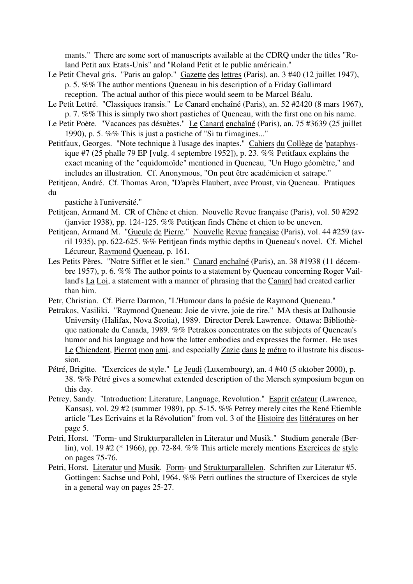mants." There are some sort of manuscripts available at the CDRQ under the titles "Roland Petit aux Etats-Unis" and "Roland Petit et le public américain."

- Le Petit Cheval gris. "Paris au galop." Gazette des lettres (Paris), an. 3 #40 (12 juillet 1947), p. 5. %% The author mentions Queneau in his description of a Friday Gallimard reception. The actual author of this piece would seem to be Marcel Béalu.
- Le Petit Lettré. "Classiques transis." Le Canard enchaîné (Paris), an. 52 #2420 (8 mars 1967), p. 7. %% This is simply two short pastiches of Queneau, with the first one on his name.
- Le Petit Poète. "Vacances pas désuètes." Le Canard enchaîné (Paris), an. 75 #3639 (25 juillet 1990), p. 5. %% This is just a pastiche of "Si tu t'imagines..."
- Petitfaux, Georges. "Note technique à l'usage des inaptes." Cahiers du Collège de 'pataphysique #7 (25 phalle 79 EP [vulg. 4 septembre 1952]), p. 23. %% Petitfaux explains the exact meaning of the "equidomoïde" mentioned in Queneau, "Un Hugo géomètre," and includes an illustration. Cf. Anonymous, "On peut être académicien et satrape."
- Petitjean, André. Cf. Thomas Aron, "D'après Flaubert, avec Proust, via Queneau. Pratiques du

pastiche à l'université."

- Petitjean, Armand M. CR of Chêne et chien. Nouvelle Revue française (Paris), vol. 50 #292 (janvier 1938), pp. 124-125. %% Petitjean finds Chêne et chien to be uneven.
- Petitjean, Armand M. "Gueule de Pierre." Nouvelle Revue française (Paris), vol. 44 #259 (avril 1935), pp. 622-625. %% Petitjean finds mythic depths in Queneau's novel. Cf. Michel Lécureur, Raymond Queneau, p. 161.
- Les Petits Pères. "Notre Sifflet et le sien." Canard enchaîné (Paris), an. 38 #1938 (11 décembre 1957), p. 6. %% The author points to a statement by Queneau concerning Roger Vailland's La Loi, a statement with a manner of phrasing that the Canard had created earlier than him.
- Petr, Christian. Cf. Pierre Darmon, "L'Humour dans la poésie de Raymond Queneau."
- Petrakos, Vasiliki. "Raymond Queneau: Joie de vivre, joie de rire." MA thesis at Dalhousie University (Halifax, Nova Scotia), 1989. Director Derek Lawrence. Ottawa: Bibliothèque nationale du Canada, 1989. %% Petrakos concentrates on the subjects of Queneau's humor and his language and how the latter embodies and expresses the former. He uses Le Chiendent, Pierrot mon ami, and especially Zazie dans le métro to illustrate his discussion.
- Pétré, Brigitte. "Exercices de style." Le Jeudi (Luxembourg), an. 4 #40 (5 oktober 2000), p. 38. %% Pétré gives a somewhat extended description of the Mersch symposium begun on this day.
- Petrey, Sandy. "Introduction: Literature, Language, Revolution." Esprit créateur (Lawrence, Kansas), vol. 29 #2 (summer 1989), pp. 5-15. %% Petrey merely cites the René Etiemble article "Les Ecrivains et la Révolution" from vol. 3 of the Histoire des littératures on her page 5.
- Petri, Horst. "Form- und Strukturparallelen in Literatur und Musik." Studium generale (Berlin), vol. 19 #2 (\* 1966), pp. 72-84. %% This article merely mentions Exercices de style on pages 75-76.
- Petri, Horst. Literatur und Musik. Form- und Strukturparallelen. Schriften zur Literatur #5. Gottingen: Sachse und Pohl, 1964. %% Petri outlines the structure of Exercices de style in a general way on pages 25-27.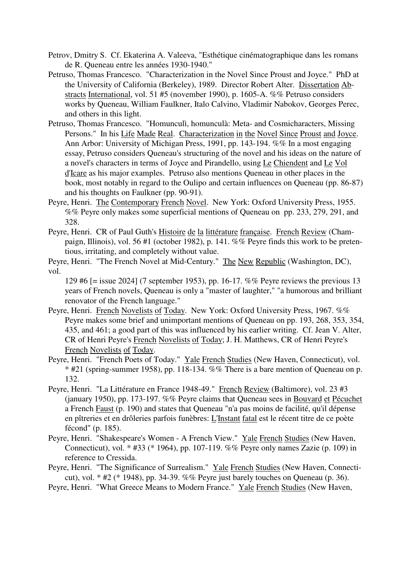- Petrov, Dmitry S. Cf. Ekaterina A. Valeeva, "Esthétique cinématographique dans les romans de R. Queneau entre les années 1930-1940."
- Petruso, Thomas Francesco. "Characterization in the Novel Since Proust and Joyce." PhD at the University of California (Berkeley), 1989. Director Robert Alter. Dissertation Abstracts International, vol. 51 #5 (november 1990), p. 1605-A. %% Petruso considers works by Queneau, William Faulkner, Italo Calvino, Vladimir Nabokov, Georges Perec, and others in this light.
- Petruso, Thomas Francesco. "Homunculì, homunculà: Meta- and Cosmicharacters, Missing Persons." In his Life Made Real. Characterization in the Novel Since Proust and Joyce. Ann Arbor: University of Michigan Press, 1991, pp. 143-194. %% In a most engaging essay, Petruso considers Queneau's structuring of the novel and his ideas on the nature of a novel's characters in terms of Joyce and Pirandello, using Le Chiendent and Le Vol d'Icare as his major examples. Petruso also mentions Queneau in other places in the book, most notably in regard to the Oulipo and certain influences on Queneau (pp. 86-87) and his thoughts on Faulkner (pp. 90-91).
- Peyre, Henri. The Contemporary French Novel. New York: Oxford University Press, 1955. %% Peyre only makes some superficial mentions of Queneau on pp. 233, 279, 291, and 328.
- Peyre, Henri. CR of Paul Guth's Histoire de la littérature française. French Review (Champaign, Illinois), vol. 56 #1 (october 1982), p. 141. %% Peyre finds this work to be pretentious, irritating, and completely without value.

Peyre, Henri. "The French Novel at Mid-Century." The New Republic (Washington, DC), vol.

129 #6 [= issue 2024] (7 september 1953), pp. 16-17. %% Peyre reviews the previous 13 years of French novels, Queneau is only a "master of laughter," "a humorous and brilliant renovator of the French language."

- Peyre, Henri. French Novelists of Today. New York: Oxford University Press, 1967. %% Peyre makes some brief and unimportant mentions of Queneau on pp. 193, 268, 353, 354, 435, and 461; a good part of this was influenced by his earlier writing. Cf. Jean V. Alter, CR of Henri Peyre's French Novelists of Today; J. H. Matthews, CR of Henri Peyre's French Novelists of Today.
- Peyre, Henri. "French Poets of Today." Yale French Studies (New Haven, Connecticut), vol. \* #21 (spring-summer 1958), pp. 118-134. %% There is a bare mention of Queneau on p. 132.
- Peyre, Henri. "La Littérature en France 1948-49." French Review (Baltimore), vol. 23 #3 (january 1950), pp. 173-197. %% Peyre claims that Queneau sees in Bouvard et Pécuchet a French Faust (p. 190) and states that Queneau "n'a pas moins de facilité, qu'il dépense en pîtreries et en drôleries parfois funèbres: L'Instant fatal est le récent titre de ce poète fécond" (p. 185).
- Peyre, Henri. "Shakespeare's Women A French View." Yale French Studies (New Haven, Connecticut), vol. \* #33 (\* 1964), pp. 107-119. %% Peyre only names Zazie (p. 109) in reference to Cressida.

Peyre, Henri. "The Significance of Surrealism." Yale French Studies (New Haven, Connecticut), vol. \* #2 (\* 1948), pp. 34-39. %% Peyre just barely touches on Queneau (p. 36).

Peyre, Henri. "What Greece Means to Modern France." Yale French Studies (New Haven,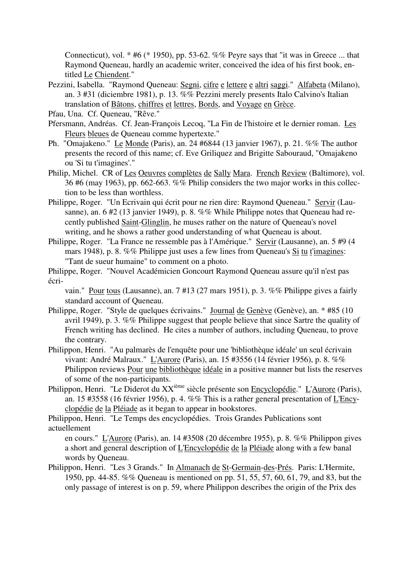Connecticut), vol.  $*$  #6 ( $*$  1950), pp. 53-62. %% Peyre says that "it was in Greece ... that Raymond Queneau, hardly an academic writer, conceived the idea of his first book, entitled Le Chiendent."

Pezzini, Isabella. "Raymond Queneau: Segni, cifre e lettere e altri saggi." Alfabeta (Milano), an. 3 #31 (diciembre 1981), p. 13. %% Pezzini merely presents Italo Calvino's Italian translation of Bâtons, chiffres et lettres, Bords, and Voyage en Grèce.

Pfau, Una. Cf. Queneau, "Rêve."

- Pfersmann, Andréas. Cf. Jean-François Lecoq, "La Fin de l'histoire et le dernier roman. Les Fleurs bleues de Queneau comme hypertexte."
- Ph. "Omajakeno." Le Monde (Paris), an. 24 #6844 (13 janvier 1967), p. 21. %% The author presents the record of this name; cf. Eve Griliquez and Brigitte Sabouraud, "Omajakeno ou 'Si tu t'imagines'."
- Philip, Michel. CR of Les Oeuvres complètes de Sally Mara. French Review (Baltimore), vol. 36 #6 (may 1963), pp. 662-663. %% Philip considers the two major works in this collection to be less than worthless.
- Philippe, Roger. "Un Ecrivain qui écrit pour ne rien dire: Raymond Queneau." Servir (Lausanne), an. 6 #2 (13 janvier 1949), p. 8. %% While Philippe notes that Queneau had recently published Saint-Glinglin, he muses rather on the nature of Queneau's novel writing, and he shows a rather good understanding of what Queneau is about.
- Philippe, Roger. "La France ne ressemble pas à l'Amérique." Servir (Lausanne), an. 5 #9 (4 mars 1948), p. 8. %% Philippe just uses a few lines from Queneau's Si tu t'imagines: "Tant de sueur humaine" to comment on a photo.
- Philippe, Roger. "Nouvel Académicien Goncourt Raymond Queneau assure qu'il n'est pas écri-

vain." Pour tous (Lausanne), an. 7 #13 (27 mars 1951), p. 3. %% Philippe gives a fairly standard account of Queneau.

- Philippe, Roger. "Style de quelques écrivains." Journal de Genève (Genève), an. \* #85 (10 avril 1949), p. 3. %% Philippe suggest that people believe that since Sartre the quality of French writing has declined. He cites a number of authors, including Queneau, to prove the contrary.
- Philippon, Henri. "Au palmarès de l'enquête pour une 'bibliothèque idéale' un seul écrivain vivant: André Malraux." L'Aurore (Paris), an. 15 #3556 (14 février 1956), p. 8. %% Philippon reviews Pour une bibliothèque idéale in a positive manner but lists the reserves of some of the non-participants.
- Philippon, Henri. "Le Diderot du XX<sup>ième</sup> siècle présente son Encyclopédie." L'Aurore (Paris), an. 15 #3558 (16 février 1956), p. 4. %% This is a rather general presentation of L'Encyclopédie de la Pléiade as it began to appear in bookstores.

Philippon, Henri. "Le Temps des encyclopédies. Trois Grandes Publications sont actuellement

en cours." L'Aurore (Paris), an. 14 #3508 (20 décembre 1955), p. 8. %% Philippon gives a short and general description of L'Encyclopédie de la Pléiade along with a few banal words by Queneau.

Philippon, Henri. "Les 3 Grands." In Almanach de St-Germain-des-Prés. Paris: L'Hermite, 1950, pp. 44-85. %% Queneau is mentioned on pp. 51, 55, 57, 60, 61, 79, and 83, but the only passage of interest is on p. 59, where Philippon describes the origin of the Prix des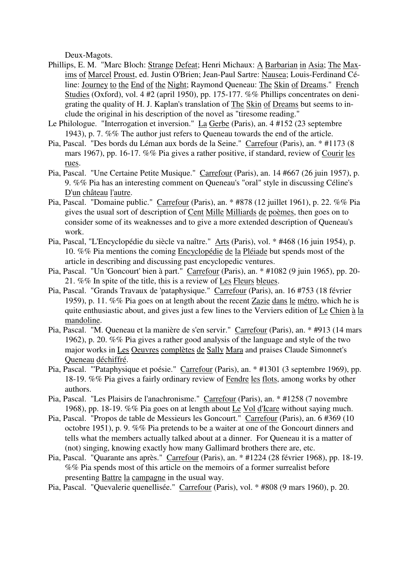Deux-Magots.

- Phillips, E. M. "Marc Bloch: Strange Defeat; Henri Michaux: A Barbarian in Asia; The Maxims of Marcel Proust, ed. Justin O'Brien; Jean-Paul Sartre: Nausea; Louis-Ferdinand Céline: Journey to the End of the Night; Raymond Queneau: The Skin of Dreams." French Studies (Oxford), vol. 4 #2 (april 1950), pp. 175-177. %% Phillips concentrates on denigrating the quality of H. J. Kaplan's translation of The Skin of Dreams but seems to include the original in his description of the novel as "tiresome reading."
- Le Philologue. "Interrogation et inversion." La Gerbe (Paris), an. 4 #152 (23 septembre 1943), p. 7. %% The author just refers to Queneau towards the end of the article.
- Pia, Pascal. "Des bords du Léman aux bords de la Seine." Carrefour (Paris), an. \* #1173 (8 mars 1967), pp. 16-17. %% Pia gives a rather positive, if standard, review of Courir les rues.
- Pia, Pascal. "Une Certaine Petite Musique." Carrefour (Paris), an. 14 #667 (26 juin 1957), p. 9. %% Pia has an interesting comment on Queneau's "oral" style in discussing Céline's D'un château l'autre.
- Pia, Pascal. "Domaine public." Carrefour (Paris), an. \* #878 (12 juillet 1961), p. 22. %% Pia gives the usual sort of description of Cent Mille Milliards de poèmes, then goes on to consider some of its weaknesses and to give a more extended description of Queneau's work.
- Pia, Pascal, "L'Encyclopédie du siècle va naître." Arts (Paris), vol. \* #468 (16 juin 1954), p. 10. %% Pia mentions the coming Encyclopédie de la Pléiade but spends most of the article in describing and discussing past encyclopedic ventures.
- Pia, Pascal. "Un 'Goncourt' bien à part." Carrefour (Paris), an. \* #1082 (9 juin 1965), pp. 20- 21. %% In spite of the title, this is a review of Les Fleurs bleues.
- Pia, Pascal. "Grands Travaux de 'pataphysique." Carrefour (Paris), an. 16 #753 (18 février 1959), p. 11. %% Pia goes on at length about the recent Zazie dans le métro, which he is quite enthusiastic about, and gives just a few lines to the Verviers edition of Le Chien à la mandoline.
- Pia, Pascal. "M. Queneau et la manière de s'en servir." Carrefour (Paris), an. \* #913 (14 mars 1962), p. 20. %% Pia gives a rather good analysis of the language and style of the two major works in Les Oeuvres complètes de Sally Mara and praises Claude Simonnet's Queneau déchiffré.
- Pia, Pascal. "'Pataphysique et poésie." Carrefour (Paris), an. \* #1301 (3 septembre 1969), pp. 18-19. %% Pia gives a fairly ordinary review of Fendre les flots, among works by other authors.
- Pia, Pascal. "Les Plaisirs de l'anachronisme." Carrefour (Paris), an. \* #1258 (7 novembre 1968), pp. 18-19. %% Pia goes on at length about Le Vol d'Icare without saying much.
- Pia, Pascal. "Propos de table de Messieurs les Goncourt." Carrefour (Paris), an. 6 #369 (10 octobre 1951), p. 9. %% Pia pretends to be a waiter at one of the Goncourt dinners and tells what the members actually talked about at a dinner. For Queneau it is a matter of (not) singing, knowing exactly how many Gallimard brothers there are, etc.
- Pia, Pascal. "Quarante ans après." Carrefour (Paris), an. \* #1224 (28 février 1968), pp. 18-19. %% Pia spends most of this article on the memoirs of a former surrealist before presenting Battre la campagne in the usual way.
- Pia, Pascal. "Quevalerie quenellisée." Carrefour (Paris), vol. \* #808 (9 mars 1960), p. 20.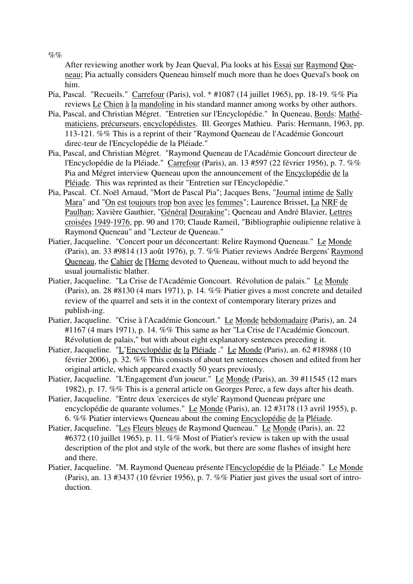After reviewing another work by Jean Queval, Pia looks at his Essai sur Raymond Queneau; Pia actually considers Queneau himself much more than he does Queval's book on him.

- Pia, Pascal. "Recueils." Carrefour (Paris), vol. \* #1087 (14 juillet 1965), pp. 18-19. %% Pia reviews Le Chien à la mandoline in his standard manner among works by other authors.
- Pia, Pascal, and Christian Mégret. "Entretien sur l'Encyclopédie." In Queneau, Bords: Mathématiciens, précurseurs, encyclopédistes. Ill. Georges Mathieu. Paris: Hermann, 1963, pp. 113-121. %% This is a reprint of their "Raymond Queneau de l'Académie Goncourt direc-teur de l'Encyclopédie de la Pléiade."
- Pia, Pascal, and Christian Mégret. "Raymond Queneau de l'Académie Goncourt directeur de l'Encyclopédie de la Pléiade." Carrefour (Paris), an. 13 #597 (22 février 1956), p. 7. %% Pia and Mégret interview Queneau upon the announcement of the Encyclopédie de la Pléiade. This was reprinted as their "Entretien sur l'Encyclopédie."
- Pia, Pascal. Cf. Noël Arnaud, "Mort de Pascal Pia"; Jacques Bens, "Journal intime de Sally Mara" and "On est toujours trop bon avec les femmes"; Laurence Brisset, La NRF de Paulhan; Xavière Gauthier, "Général Dourakine"; Queneau and André Blavier, Lettres croisées 1949-1976, pp. 90 and 170; Claude Rameil, "Bibliographie oulipienne relative à Raymond Queneau" and "Lecteur de Queneau."
- Piatier, Jacqueline. "Concert pour un déconcertant: Relire Raymond Queneau." Le Monde (Paris), an. 33 #9814 (13 août 1976), p. 7. %% Piatier reviews Andrée Bergens' Raymond Queneau, the Cahier de l'Herne devoted to Queneau, without much to add beyond the usual journalistic blather.
- Piatier, Jacqueline. "La Crise de l'Académie Goncourt. Révolution de palais." Le Monde (Paris), an. 28 #8130 (4 mars 1971), p. 14. %% Piatier gives a most concrete and detailed review of the quarrel and sets it in the context of contemporary literary prizes and publish-ing.
- Piatier, Jacqueline. "Crise à l'Académie Goncourt." Le Monde hebdomadaire (Paris), an. 24 #1167 (4 mars 1971), p. 14. %% This same as her "La Crise de l'Académie Goncourt. Révolution de palais," but with about eight explanatory sentences preceding it.
- Piatier, Jacqueline. "L'Encyclopédie de la Pléiade." Le Monde (Paris), an. 62 #18988 (10 février 2006), p. 32. %% This consists of about ten sentences chosen and edited from her original article, which appeared exactly 50 years previously.
- Piatier, Jacqueline. "L'Engagement d'un joueur." Le Monde (Paris), an. 39 #11545 (12 mars 1982), p. 17. %% This is a general article on Georges Perec, a few days after his death.
- Piatier, Jacqueline. "Entre deux 'exercices de style' Raymond Queneau prépare une encyclopédie de quarante volumes." Le Monde (Paris), an. 12 #3178 (13 avril 1955), p. 6. %% Piatier interviews Queneau about the coming Encyclopédie de la Pléiade.
- Piatier, Jacqueline. "Les Fleurs bleues de Raymond Queneau." Le Monde (Paris), an. 22 #6372 (10 juillet 1965), p. 11. %% Most of Piatier's review is taken up with the usual description of the plot and style of the work, but there are some flashes of insight here and there.
- Piatier, Jacqueline. "M. Raymond Queneau présente l'Encyclopédie de la Pléiade." Le Monde (Paris), an. 13 #3437 (10 février 1956), p. 7. %% Piatier just gives the usual sort of introduction.

 $\%$ %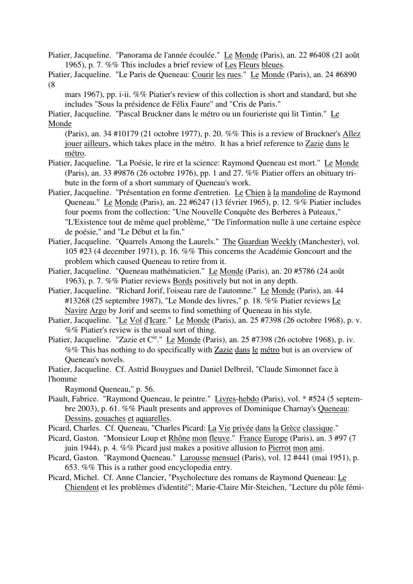- Piatier, Jacqueline. "Panorama de l'année écoulée." Le Monde (Paris), an. 22 #6408 (21 août 1965), p. 7. %% This includes a brief review of Les Fleurs bleues.
- Piatier, Jacqueline. "Le Paris de Queneau: Courir les rues." Le Monde (Paris), an. 24 #6890 (8

mars 1967), pp. i-ii. %% Piatier's review of this collection is short and standard, but she includes "Sous la présidence de Félix Faure" and "Cris de Paris."

Piatier, Jacqueline. "Pascal Bruckner dans le métro ou un fourieriste qui lit Tintin." Le Monde

(Paris), an. 34 #10179 (21 octobre 1977), p. 20. %% This is a review of Bruckner's Allez jouer ailleurs, which takes place in the métro. It has a brief reference to Zazie dans le métro.

- Piatier, Jacqueline. "La Poésie, le rire et la science: Raymond Queneau est mort." Le Monde (Paris), an. 33 #9876 (26 octobre 1976), pp. 1 and 27. %% Piatier offers an obituary tribute in the form of a short summary of Queneau's work.
- Piatier, Jacqueline. "Présentation en forme d'entretien. Le Chien à la mandoline de Raymond Queneau." Le Monde (Paris), an. 22 #6247 (13 février 1965), p. 12. %% Piatier includes four poems from the collection: "Une Nouvelle Conquête des Berberes à Puteaux," "L'Existence tout de même quel problème," "De l'information nulle à une certaine espèce de poésie," and "Le Début et la fin."
- Piatier, Jacqueline. "Quarrels Among the Laurels." The Guardian Weekly (Manchester), vol. 105 #23 (4 december 1971), p. 16. %% This concerns the Académie Goncourt and the problem which caused Queneau to retire from it.
- Piatier, Jacqueline. "Queneau mathématicien." Le Monde (Paris), an. 20 #5786 (24 août 1963), p. 7. %% Piatier reviews Bords positively but not in any depth.
- Piatier, Jacqueline. "Richard Jorif, l'oiseau rare de l'automne." Le Monde (Paris), an. 44 #13268 (25 septembre 1987), "Le Monde des livres," p. 18. %% Piatier reviews Le Navire Argo by Jorif and seems to find something of Queneau in his style.
- Piatier, Jacqueline. "Le Vol d'Icare." Le Monde (Paris), an. 25 #7398 (26 octobre 1968), p. v. %% Piatier's review is the usual sort of thing.
- Piatier, Jacqueline. "Zazie et C<sup>ie</sup>." Le Monde (Paris), an. 25 #7398 (26 octobre 1968), p. iv. %% This has nothing to do specifically with Zazie dans le métro but is an overview of Queneau's novels.
- Piatier, Jacqueline. Cf. Astrid Bouygues and Daniel Delbreil, "Claude Simonnet face à l'homme

Raymond Queneau," p. 56.

- Piault, Fabrice. "Raymond Queneau, le peintre." Livres-hebdo (Paris), vol. \* #524 (5 septembre 2003), p. 61. %% Piault presents and approves of Dominique Charnay's Queneau: Dessins, gouaches et aquarelles.
- Picard, Charles. Cf. Queneau, "Charles Picard: La Vie privée dans la Grèce classique."
- Picard, Gaston. "Monsieur Loup et Rhône mon fleuve." France Europe (Paris), an. 3 #97 (7 juin 1944), p. 4. %% Picard just makes a positive allusion to Pierrot mon ami.
- Picard, Gaston. "Raymond Queneau." Larousse mensuel (Paris), vol. 12 #441 (mai 1951), p. 653. %% This is a rather good encyclopedia entry.
- Picard, Michel. Cf. Anne Clancier, "Psycholecture des romans de Raymond Queneau: Le Chiendent et les problèmes d'identité"; Marie-Claire Mir-Steichen, "Lecture du pôle fémi-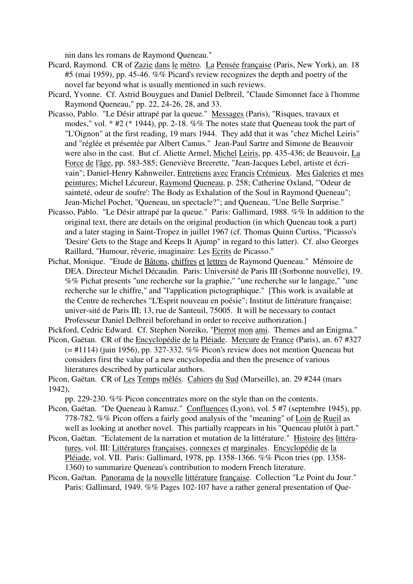nin dans les romans de Raymond Queneau."

- Picard, Raymond. CR of Zazie dans le métro. La Pensée française (Paris, New York), an. 18 #5 (mai 1959), pp. 45-46. %% Picard's review recognizes the depth and poetry of the novel far beyond what is usually mentioned in such reviews.
- Picard, Yvonne. Cf. Astrid Bouygues and Daniel Delbreil, "Claude Simonnet face à l'homme Raymond Queneau," pp. 22, 24-26, 28, and 33.
- Picasso, Pablo. "Le Désir attrapé par la queue." Messages (Paris), "Risques, travaux et modes," vol. \* #2 (\* 1944), pp. 2-18. %% The notes state that Queneau took the part of "L'Oignon" at the first reading, 19 mars 1944. They add that it was "chez Michel Leiris" and "réglée et présentée par Albert Camus." Jean-Paul Sartre and Simone de Beauvoir were also in the cast. But cf. Aliette Armel, Michel Leiris, pp. 435-436; de Beauvoir, La Force de l'âge, pp. 583-585; Geneviève Breerette, "Jean-Jacques Lebel, artiste et écrivain"; Daniel-Henry Kahnweiler, Entretiens avec Francis Crémieux. Mes Galeries et mes peintures; Michel Lécureur, Raymond Queneau, p. 258; Catherine Oxland, "'Odeur de sainteté, odeur de soufre': The Body as Exhalation of the Soul in Raymond Queneau"; Jean-Michel Pochet, "Queneau, un spectacle?"; and Queneau, "Une Belle Surprise."
- Picasso, Pablo. "Le Désir attrapé par la queue." Paris: Gallimard, 1988. %% In addition to the original text, there are details on the original production (in which Queneau took a part) and a later staging in Saint-Tropez in juillet 1967 (cf. Thomas Quinn Curtiss, "Picasso's 'Desire' Gets to the Stage and Keeps It Ajump" in regard to this latter). Cf. also Georges Raillard, "Humour, rêverie, imaginaire: Les Ecrits de Picasso."
- Pichat, Monique. "Etude de Bâtons, chiffres et lettres de Raymond Queneau." Mémoire de DEA. Directeur Michel Décaudin. Paris: Université de Paris III (Sorbonne nouvelle), 19. %% Pichat presents "une recherche sur la graphie," "une recherche sur le langage," "une recherche sur le chiffre," and "l'application pictographique." [This work is available at the Centre de recherches "L'Esprit nouveau en poésie"; Institut de littérature française; univer-sité de Paris III; 13, rue de Santeuil, 75005. It will be necessary to contact Professeur Daniel Delbreil beforehand in order to receive authorization.]

Pickford, Cedric Edward. Cf. Stephen Noreiko, "Pierrot mon ami. Themes and an Enigma." Picon, Gaëtan. CR of the Encyclopédie de la Pléiade. Mercure de France (Paris), an. 67 #327

- $(= 41114)$  (juin 1956), pp. 327-332. %% Picon's review does not mention Queneau but considers first the value of a new encyclopedia and then the presence of various literatures described by particular authors.
- Picon, Gaëtan. CR of Les Temps mêlés. Cahiers du Sud (Marseille), an. 29 #244 (mars 1942),

pp. 229-230. %% Picon concentrates more on the style than on the contents.

- Picon, Gaëtan. "De Queneau à Ramuz." Confluences (Lyon), vol. 5 #7 (septembre 1945), pp. 778-782. %% Picon offers a fairly good analysis of the "meaning" of Loin de Rueil as well as looking at another novel. This partially reappears in his "Queneau plutôt à part."
- Picon, Gaëtan. "Eclatement de la narration et mutation de la littérature." Histoire des littératures, vol. III: Littératures françaises, connexes et marginales. Encyclopédie de la Pléiade, vol. VII. Paris: Gallimard, 1978, pp. 1358-1366. %% Picon tries (pp. 1358- 1360) to summarize Queneau's contribution to modern French literature.
- Picon, Gaëtan. Panorama de la nouvelle littérature française. Collection "Le Point du Jour." Paris: Gallimard, 1949. %% Pages 102-107 have a rather general presentation of Que-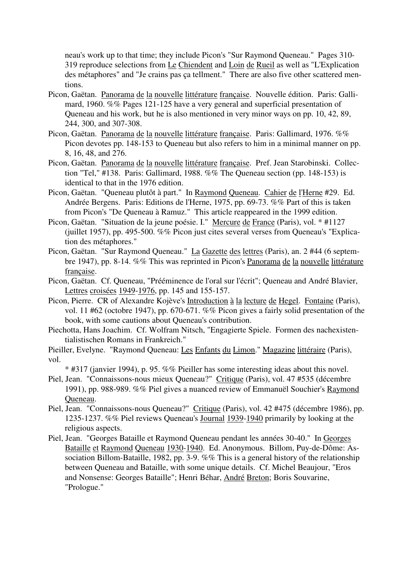neau's work up to that time; they include Picon's "Sur Raymond Queneau." Pages 310- 319 reproduce selections from Le Chiendent and Loin de Rueil as well as "L'Explication des métaphores" and "Je crains pas ça tellment." There are also five other scattered mentions.

- Picon, Gaëtan. Panorama de la nouvelle littérature française. Nouvelle édition. Paris: Gallimard, 1960. %% Pages 121-125 have a very general and superficial presentation of Queneau and his work, but he is also mentioned in very minor ways on pp. 10, 42, 89, 244, 300, and 307-308.
- Picon, Gaëtan. Panorama de la nouvelle littérature française. Paris: Gallimard, 1976. %% Picon devotes pp. 148-153 to Queneau but also refers to him in a minimal manner on pp. 8, 16, 48, and 276.
- Picon, Gaëtan. Panorama de la nouvelle littérature française. Pref. Jean Starobinski. Collection "Tel," #138. Paris: Gallimard, 1988. %% The Queneau section (pp. 148-153) is identical to that in the 1976 edition.
- Picon, Gaëtan. "Queneau plutôt à part." In Raymond Queneau. Cahier de l'Herne #29. Ed. Andrée Bergens. Paris: Editions de l'Herne, 1975, pp. 69-73. %% Part of this is taken from Picon's "De Queneau à Ramuz." This article reappeared in the 1999 edition.
- Picon, Gaëtan. "Situation de la jeune poésie. I." Mercure de France (Paris), vol. \* #1127 (juillet 1957), pp. 495-500. %% Picon just cites several verses from Queneau's "Explication des métaphores."
- Picon, Gaëtan. "Sur Raymond Queneau." La Gazette des lettres (Paris), an. 2 #44 (6 septembre 1947), pp. 8-14. %% This was reprinted in Picon's Panorama de la nouvelle littérature française.
- Picon, Gaëtan. Cf. Queneau, "Prééminence de l'oral sur l'écrit"; Queneau and André Blavier, Lettres croisées 1949-1976, pp. 145 and 155-157.
- Picon, Pierre. CR of Alexandre Kojève's Introduction à la lecture de Hegel. Fontaine (Paris), vol. 11 #62 (octobre 1947), pp. 670-671. %% Picon gives a fairly solid presentation of the book, with some cautions about Queneau's contribution.
- Piechotta, Hans Joachim. Cf. Wolfram Nitsch, "Engagierte Spiele. Formen des nachexistentialistischen Romans in Frankreich."
- Pieiller, Evelyne. "Raymond Queneau: Les Enfants du Limon." Magazine littéraire (Paris), vol.

\* #317 (janvier 1994), p. 95. %% Pieiller has some interesting ideas about this novel.

- Piel, Jean. "Connaissons-nous mieux Queneau?" Critique (Paris), vol. 47 #535 (décembre 1991), pp. 988-989. %% Piel gives a nuanced review of Emmanuël Souchier's Raymond Queneau.
- Piel, Jean. "Connaissons-nous Queneau?" Critique (Paris), vol. 42 #475 (décembre 1986), pp. 1235-1237. %% Piel reviews Queneau's Journal 1939-1940 primarily by looking at the religious aspects.
- Piel, Jean. "Georges Bataille et Raymond Queneau pendant les années 30-40." In Georges Bataille et Raymond Queneau 1930-1940. Ed. Anonymous. Billom, Puy-de-Dôme: Association Billom-Bataille, 1982, pp. 3-9. %% This is a general history of the relationship between Queneau and Bataille, with some unique details. Cf. Michel Beaujour, "Eros and Nonsense: Georges Bataille"; Henri Béhar, André Breton; Boris Souvarine, "Prologue."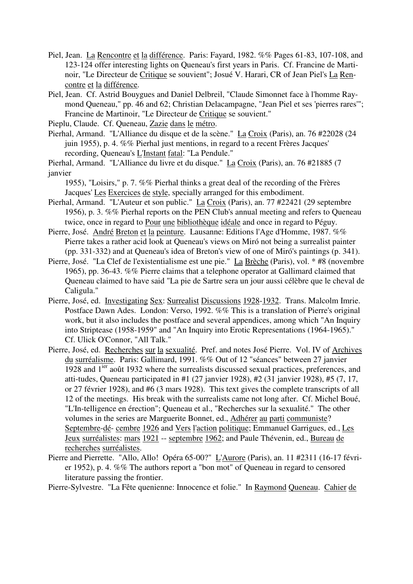- Piel, Jean. La Rencontre et la différence. Paris: Fayard, 1982. %% Pages 61-83, 107-108, and 123-124 offer interesting lights on Queneau's first years in Paris. Cf. Francine de Martinoir, "Le Directeur de Critique se souvient"; Josué V. Harari, CR of Jean Piel's La Rencontre et la différence.
- Piel, Jean. Cf. Astrid Bouygues and Daniel Delbreil, "Claude Simonnet face à l'homme Raymond Queneau," pp. 46 and 62; Christian Delacampagne, "Jean Piel et ses 'pierres rares'"; Francine de Martinoir, "Le Directeur de Critique se souvient."
- Pieplu, Claude. Cf. Queneau, Zazie dans le métro.
- Pierhal, Armand. "L'Alliance du disque et de la scène." La Croix (Paris), an. 76 #22028 (24 juin 1955), p. 4. %% Pierhal just mentions, in regard to a recent Frères Jacques' recording, Queneau's L'Instant fatal: "La Pendule."
- Pierhal, Armand. "L'Alliance du livre et du disque." La Croix (Paris), an. 76 #21885 (7 janvier

1955), "Loisirs," p. 7. %% Pierhal thinks a great deal of the recording of the Frères Jacques' Les Exercices de style, specially arranged for this embodiment.

- Pierhal, Armand. "L'Auteur et son public." La Croix (Paris), an. 77 #22421 (29 septembre 1956), p. 3. %% Pierhal reports on the PEN Club's annual meeting and refers to Queneau twice, once in regard to Pour une bibliothèque idéale and once in regard to Péguy.
- Pierre, José. André Breton et la peinture. Lausanne: Editions l'Age d'Homme, 1987. %% Pierre takes a rather acid look at Queneau's views on Miró not being a surrealist painter (pp. 331-332) and at Queneau's idea of Breton's view of one of Miró's paintings (p. 341).
- Pierre, José. "La Clef de l'existentialisme est une pie." La Brèche (Paris), vol. \* #8 (novembre 1965), pp. 36-43. %% Pierre claims that a telephone operator at Gallimard claimed that Queneau claimed to have said "La pie de Sartre sera un jour aussi célèbre que le cheval de Caligula."
- Pierre, José, ed. Investigating Sex: Surrealist Discussions 1928-1932. Trans. Malcolm Imrie. Postface Dawn Ades. London: Verso, 1992. %% This is a translation of Pierre's original work, but it also includes the postface and several appendices, among which "An Inquiry into Striptease (1958-1959" and "An Inquiry into Erotic Representations (1964-1965)." Cf. Ulick O'Connor, "All Talk."
- Pierre, José, ed. Recherches sur la sexualité. Pref. and notes José Pierre. Vol. IV of Archives du surréalisme. Paris: Gallimard, 1991. %% Out of 12 "séances" between 27 janvier 1928 and 1ier août 1932 where the surrealists discussed sexual practices, preferences, and atti-tudes, Queneau participated in #1 (27 janvier 1928), #2 (31 janvier 1928), #5 (7, 17, or 27 février 1928), and #6 (3 mars 1928). This text gives the complete transcripts of all 12 of the meetings. His break with the surrealists came not long after. Cf. Michel Boué, "L'In-telligence en érection"; Queneau et al., "Recherches sur la sexualité." The other volumes in the series are Marguerite Bonnet, ed., Adhérer au parti communiste? Septembre-dé- cembre 1926 and Vers l'action politique; Emmanuel Garrigues, ed., Les Jeux surréalistes: mars 1921 -- septembre 1962; and Paule Thévenin, ed., Bureau de recherches surréalistes.
- Pierre and Pierrette. "Allo, Allo! Opéra 65-00?" L'Aurore (Paris), an. 11 #2311 (16-17 février 1952), p. 4. %% The authors report a "bon mot" of Queneau in regard to censored literature passing the frontier.

Pierre-Sylvestre. "La Fête quenienne: Innocence et folie." In Raymond Queneau. Cahier de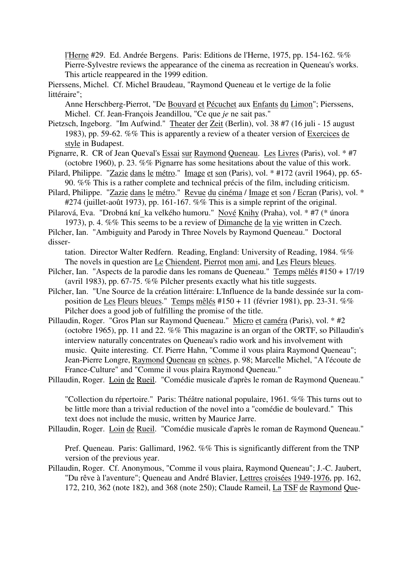l'Herne #29. Ed. Andrée Bergens. Paris: Editions de l'Herne, 1975, pp. 154-162. %% Pierre-Sylvestre reviews the appearance of the cinema as recreation in Queneau's works. This article reappeared in the 1999 edition.

Pierssens, Michel. Cf. Michel Braudeau, "Raymond Queneau et le vertige de la folie littéraire";

Anne Herschberg-Pierrot, "De Bouvard et Pécuchet aux Enfants du Limon"; Pierssens, Michel. Cf. Jean-François Jeandillou, "Ce que *je* ne sait pas."

Pietzsch, Ingeborg. "Im Aufwind." Theater der Zeit (Berlin), vol. 38 #7 (16 juli - 15 august 1983), pp. 59-62. %% This is apparently a review of a theater version of Exercices de style in Budapest.

Pignarre, R. CR of Jean Queval's Essai sur Raymond Queneau. Les Livres (Paris), vol. \* #7 (octobre 1960), p. 23. %% Pignarre has some hesitations about the value of this work.

Pilard, Philippe. "Zazie dans le métro." Image et son (Paris), vol. \* #172 (avril 1964), pp. 65- 90. %% This is a rather complete and technical précis of the film, including criticism.

Pilard, Philippe. "Zazie dans le métro." Revue du cinéma / Image et son / Ecran (Paris), vol. \* #274 (juillet-août 1973), pp. 161-167. %% This is a simple reprint of the original.

Pilarová, Eva. "Drobná kní ka velkého humoru." Nové Knihy (Praha), vol. \* #7 (\* února 1973), p. 4. %% This seems to be a review of Dimanche de la vie written in Czech.

Pilcher, Ian. "Ambiguity and Parody in Three Novels by Raymond Queneau." Doctoral disser-

tation. Director Walter Redfern. Reading, England: University of Reading, 1984. %% The novels in question are Le Chiendent, Pierrot mon ami, and Les Fleurs bleues.

- Pilcher, Ian. "Aspects de la parodie dans les romans de Queneau." Temps mêlés #150 + 17/19 (avril 1983), pp. 67-75. %% Pilcher presents exactly what his title suggests.
- Pilcher, Ian. "Une Source de la création littéraire: L'Influence de la bande dessinée sur la composition de Les Fleurs bleues." Temps mêlés #150 + 11 (février 1981), pp. 23-31. %% Pilcher does a good job of fulfilling the promise of the title.
- Pillaudin, Roger. "Gros Plan sur Raymond Queneau." Micro et caméra (Paris), vol. \* #2 (octobre 1965), pp. 11 and 22. %% This magazine is an organ of the ORTF, so Pillaudin's interview naturally concentrates on Queneau's radio work and his involvement with music. Quite interesting. Cf. Pierre Hahn, "Comme il vous plaira Raymond Queneau"; Jean-Pierre Longre, Raymond Queneau en scènes, p. 98; Marcelle Michel, "A l'écoute de France-Culture" and "Comme il vous plaira Raymond Queneau."

Pillaudin, Roger. Loin de Rueil. "Comédie musicale d'après le roman de Raymond Queneau."

"Collection du répertoire." Paris: Théâtre national populaire, 1961. %% This turns out to be little more than a trivial reduction of the novel into a "comédie de boulevard." This text does not include the music, written by Maurice Jarre.

Pillaudin, Roger. Loin de Rueil. "Comédie musicale d'après le roman de Raymond Queneau."

Pref. Queneau. Paris: Gallimard, 1962. %% This is significantly different from the TNP version of the previous year.

Pillaudin, Roger. Cf. Anonymous, "Comme il vous plaira, Raymond Queneau"; J.-C. Jaubert, "Du rêve à l'aventure"; Queneau and André Blavier, Lettres croisées 1949-1976, pp. 162, 172, 210, 362 (note 182), and 368 (note 250); Claude Rameil, La TSF de Raymond Que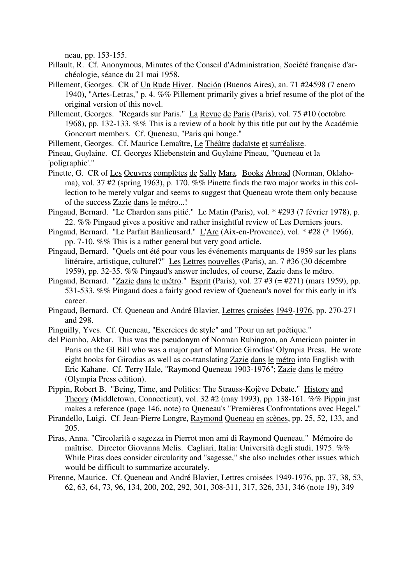neau, pp. 153-155.

- Pillault, R. Cf. Anonymous, Minutes of the Conseil d'Administration, Société française d'archéologie, séance du 21 mai 1958.
- Pillement, Georges. CR of Un Rude Hiver. Nación (Buenos Aires), an. 71 #24598 (7 enero 1940), "Artes-Letras," p. 4. %% Pillement primarily gives a brief resume of the plot of the original version of this novel.
- Pillement, Georges. "Regards sur Paris." La Revue de Paris (Paris), vol. 75 #10 (octobre 1968), pp. 132-133. %% This is a review of a book by this title put out by the Académie Goncourt members. Cf. Queneau, "Paris qui bouge."

Pillement, Georges. Cf. Maurice Lemaître, Le Théâtre dadaïste et surréaliste.

- Pineau, Guylaine. Cf. Georges Kliebenstein and Guylaine Pineau, "Queneau et la 'poligraphie'."
- Pinette, G. CR of Les Oeuvres complètes de Sally Mara. Books Abroad (Norman, Oklahoma), vol. 37 #2 (spring 1963), p. 170. %% Pinette finds the two major works in this collection to be merely vulgar and seems to suggest that Queneau wrote them only because of the success Zazie dans le métro...!
- Pingaud, Bernard. "Le Chardon sans pitié." Le Matin (Paris), vol. \* #293 (7 février 1978), p. 22. %% Pingaud gives a positive and rather insightful review of Les Derniers jours.
- Pingaud, Bernard. "Le Parfait Banlieusard." L'Arc (Aix-en-Provence), vol. \* #28 (\* 1966), pp. 7-10. %% This is a rather general but very good article.
- Pingaud, Bernard. "Quels ont été pour vous les événements marquants de 1959 sur les plans littéraire, artistique, culturel?" Les Lettres nouvelles (Paris), an. 7 #36 (30 décembre 1959), pp. 32-35. %% Pingaud's answer includes, of course, Zazie dans le métro.
- Pingaud, Bernard. "Zazie dans le métro." Esprit (Paris), vol. 27 #3 (= #271) (mars 1959), pp. 531-533. %% Pingaud does a fairly good review of Queneau's novel for this early in it's career.
- Pingaud, Bernard. Cf. Queneau and André Blavier, Lettres croisées 1949-1976, pp. 270-271 and 298.
- Pinguilly, Yves. Cf. Queneau, "Exercices de style" and "Pour un art poétique."
- del Piombo, Akbar. This was the pseudonym of Norman Rubington, an American painter in Paris on the GI Bill who was a major part of Maurice Girodias' Olympia Press. He wrote eight books for Girodias as well as co-translating Zazie dans le métro into English with Eric Kahane. Cf. Terry Hale, "Raymond Queneau 1903-1976"; Zazie dans le métro (Olympia Press edition).
- Pippin, Robert B. "Being, Time, and Politics: The Strauss-Kojève Debate." History and Theory (Middletown, Connecticut), vol. 32 #2 (may 1993), pp. 138-161. %% Pippin just makes a reference (page 146, note) to Queneau's "Premières Confrontations avec Hegel."
- Pirandello, Luigi. Cf. Jean-Pierre Longre, Raymond Queneau en scènes, pp. 25, 52, 133, and 205.
- Piras, Anna. "Circolarità e sagezza in Pierrot mon ami di Raymond Queneau." Mémoire de maîtrise. Director Giovanna Melis. Cagliari, Italia: Università degli studi, 1975. %% While Piras does consider circularity and "sagesse," she also includes other issues which would be difficult to summarize accurately.
- Pirenne, Maurice. Cf. Queneau and André Blavier, Lettres croisées 1949-1976, pp. 37, 38, 53, 62, 63, 64, 73, 96, 134, 200, 202, 292, 301, 308-311, 317, 326, 331, 346 (note 19), 349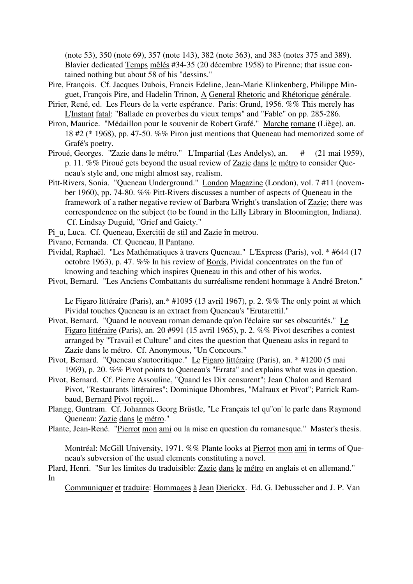(note 53), 350 (note 69), 357 (note 143), 382 (note 363), and 383 (notes 375 and 389). Blavier dedicated Temps mêlés #34-35 (20 décembre 1958) to Pirenne; that issue contained nothing but about 58 of his "dessins."

- Pire, François. Cf. Jacques Dubois, Francis Edeline, Jean-Marie Klinkenberg, Philippe Minguet, François Pire, and Hadelin Trinon, A General Rhetoric and Rhétorique générale.
- Pirier, René, ed. Les Fleurs de la verte espérance. Paris: Grund, 1956. %% This merely has L'Instant fatal: "Ballade en proverbes du vieux temps" and "Fable" on pp. 285-286.
- Piron, Maurice. "Médaillon pour le souvenir de Robert Grafé." Marche romane (Liège), an. 18 #2 (\* 1968), pp. 47-50. %% Piron just mentions that Queneau had memorized some of Grafé's poetry.
- Piroué, Georges. "Zazie dans le métro." L'Impartial (Les Andelys), an. # (21 mai 1959), p. 11. %% Piroué gets beyond the usual review of Zazie dans le métro to consider Queneau's style and, one might almost say, realism.
- Pitt-Rivers, Sonia. "Queneau Underground." London Magazine (London), vol. 7 #11 (november 1960), pp. 74-80. %% Pitt-Rivers discusses a number of aspects of Queneau in the framework of a rather negative review of Barbara Wright's translation of Zazie; there was correspondence on the subject (to be found in the Lilly Library in Bloomington, Indiana). Cf. Lindsay Duguid, "Grief and Gaiety."
- Pi\_u, Luca. Cf. Queneau, Exercitii de stil and Zazie în metrou.
- Pivano, Fernanda. Cf. Queneau, Il Pantano.
- Pividal, Raphaël. "Les Mathématiques à travers Queneau." L'Express (Paris), vol. \* #644 (17 octobre 1963), p. 47. %% In his review of Bords, Pividal concentrates on the fun of knowing and teaching which inspires Queneau in this and other of his works.
- Pivot, Bernard. "Les Anciens Combattants du surréalisme rendent hommage à André Breton."

Le Figaro littéraire (Paris), an.\* #1095 (13 avril 1967), p. 2. %% The only point at which Pividal touches Queneau is an extract from Queneau's "Erutarettil."

- Pivot, Bernard. "Quand le nouveau roman demande qu'on l'éclaire sur ses obscurités." Le Figaro littéraire (Paris), an. 20 #991 (15 avril 1965), p. 2. %% Pivot describes a contest arranged by "Travail et Culture" and cites the question that Queneau asks in regard to Zazie dans le métro. Cf. Anonymous, "Un Concours."
- Pivot, Bernard. "Queneau s'autocritique." Le Figaro littéraire (Paris), an. \* #1200 (5 mai 1969), p. 20. %% Pivot points to Queneau's "Errata" and explains what was in question.
- Pivot, Bernard. Cf. Pierre Assouline, "Quand les Dix censurent"; Jean Chalon and Bernard Pivot, "Restaurants littéraires"; Dominique Dhombres, "Malraux et Pivot"; Patrick Rambaud, Bernard Pivot reçoit...
- Plangg, Guntram. Cf. Johannes Georg Brüstle, "Le Français tel qu''on' le parle dans Raymond Queneau: Zazie dans le métro."
- Plante, Jean-René. "Pierrot mon ami ou la mise en question du romanesque." Master's thesis.

Montréal: McGill University, 1971. %% Plante looks at Pierrot mon ami in terms of Queneau's subversion of the usual elements constituting a novel.

Plard, Henri. "Sur les limites du traduisible: Zazie dans le métro en anglais et en allemand." In

Communiquer et traduire: Hommages à Jean Dierickx. Ed. G. Debusscher and J. P. Van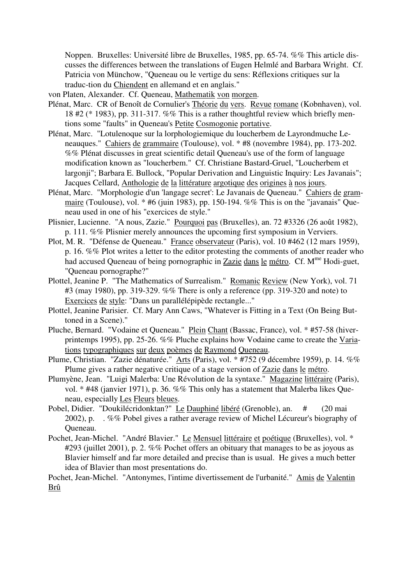Noppen. Bruxelles: Université libre de Bruxelles, 1985, pp. 65-74. %% This article discusses the differences between the translations of Eugen Helmlé and Barbara Wright. Cf. Patricia von Münchow, "Queneau ou le vertige du sens: Réflexions critiques sur la traduc-tion du Chiendent en allemand et en anglais."

- von Platen, Alexander. Cf. Queneau, Mathematik von morgen.
- Plénat, Marc. CR of Benoît de Cornulier's Théorie du vers. Revue romane (Kobnhaven), vol. 18 #2 (\* 1983), pp. 311-317. %% This is a rather thoughtful review which briefly mentions some "faults" in Queneau's Petite Cosmogonie portative.
- Plénat, Marc. "Lotulenoque sur la lorphologiemique du loucherbem de Layrondmuche Leneauques." Cahiers de grammaire (Toulouse), vol. \* #8 (novembre 1984), pp. 173-202. %% Plénat discusses in great scientific detail Queneau's use of the form of language modification known as "loucherbem." Cf. Christiane Bastard-Gruel, "Loucherbem et largonji"; Barbara E. Bullock, "Popular Derivation and Linguistic Inquiry: Les Javanais"; Jacques Cellard, Anthologie de la littérature argotique des origines à nos jours.
- Plénat, Marc. "Morphologie d'un 'langage secret': Le Javanais de Queneau." Cahiers de grammaire (Toulouse), vol.  $*$  #6 (juin 1983), pp. 150-194. %% This is on the "javanais" Queneau used in one of his "exercices de style."
- Plisnier, Lucienne. "A nous, Zazie." Pourquoi pas (Bruxelles), an. 72 #3326 (26 août 1982), p. 111. %% Plisnier merely announces the upcoming first symposium in Verviers.
- Plot, M. R. "Défense de Queneau." France observateur (Paris), vol. 10 #462 (12 mars 1959), p. 16. %% Plot writes a letter to the editor protesting the comments of another reader who had accused Queneau of being pornographic in Zazie dans le métro. Cf. M<sup>me</sup> Hodi-guet, "Queneau pornographe?"
- Plottel, Jeanine P. "The Mathematics of Surrealism." Romanic Review (New York), vol. 71 #3 (may 1980), pp. 319-329. %% There is only a reference (pp. 319-320 and note) to Exercices de style: "Dans un parallélépipède rectangle..."
- Plottel, Jeanine Parisier. Cf. Mary Ann Caws, "Whatever is Fitting in a Text (On Being Buttoned in a Scene)."
- Pluche, Bernard. "Vodaine et Queneau." Plein Chant (Bassac, France), vol. \* #57-58 (hiverprintemps 1995), pp. 25-26. %% Pluche explains how Vodaine came to create the Variations typographiques sur deux poèmes de Raymond Queneau.
- Plume, Christian. "Zazie dénaturée." Arts (Paris), vol. \* #752 (9 décembre 1959), p. 14. %% Plume gives a rather negative critique of a stage version of Zazie dans le métro.
- Plumyène, Jean. "Luigi Malerba: Une Révolution de la syntaxe." Magazine littéraire (Paris), vol. \* #48 (janvier 1971), p. 36. %% This only has a statement that Malerba likes Queneau, especially Les Fleurs bleues.
- Pobel, Didier. "Doukilécridonktan?" Le Dauphiné libéré (Grenoble), an. # (20 mai 2002), p. . %% Pobel gives a rather average review of Michel Lécureur's biography of Queneau.
- Pochet, Jean-Michel. "André Blavier." Le Mensuel littéraire et poétique (Bruxelles), vol. \* #293 (juillet 2001), p. 2. %% Pochet offers an obituary that manages to be as joyous as Blavier himself and far more detailed and precise than is usual. He gives a much better idea of Blavier than most presentations do.

Pochet, Jean-Michel. "Antonymes, l'intime divertissement de l'urbanité." Amis de Valentin Brû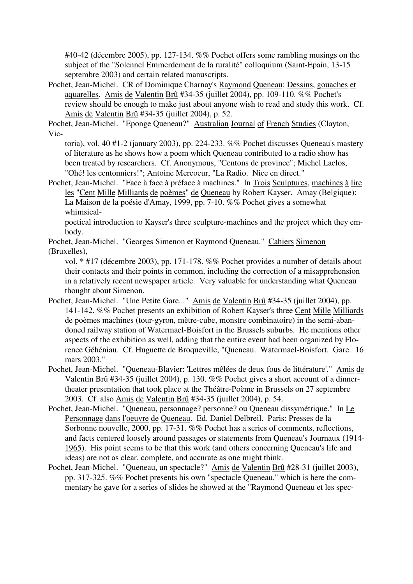#40-42 (décembre 2005), pp. 127-134. %% Pochet offers some rambling musings on the subject of the "Solennel Emmerdement de la ruralité" colloquium (Saint-Epain, 13-15 septembre 2003) and certain related manuscripts.

Pochet, Jean-Michel. CR of Dominique Charnay's Raymond Queneau: Dessins, gouaches et aquarelles. Amis de Valentin Brû #34-35 (juillet 2004), pp. 109-110. %% Pochet's review should be enough to make just about anyone wish to read and study this work. Cf. Amis de Valentin Brû #34-35 (juillet 2004), p. 52.

Pochet, Jean-Michel. "Eponge Queneau?" Australian Journal of French Studies (Clayton, Vic-

toria), vol. 40 #1-2 (january 2003), pp. 224-233. %% Pochet discusses Queneau's mastery of literature as he shows how a poem which Queneau contributed to a radio show has been treated by researchers. Cf. Anonymous, "Centons de province"; Michel Laclos, "Ohé! les centonniers!"; Antoine Mercoeur, "La Radio. Nice en direct."

Pochet, Jean-Michel. "Face à face à préface à machines." In Trois Sculptures, machines à lire les "Cent Mille Milliards de poèmes" de Queneau by Robert Kayser. Amay (Belgique): La Maison de la poésie d'Amay, 1999, pp. 7-10. %% Pochet gives a somewhat whimsical-

poetical introduction to Kayser's three sculpture-machines and the project which they embody.

Pochet, Jean-Michel. "Georges Simenon et Raymond Queneau." Cahiers Simenon (Bruxelles),

vol. \* #17 (décembre 2003), pp. 171-178. %% Pochet provides a number of details about their contacts and their points in common, including the correction of a misapprehension in a relatively recent newspaper article. Very valuable for understanding what Queneau thought about Simenon.

- Pochet, Jean-Michel. "Une Petite Gare..." Amis de Valentin Brû #34-35 (juillet 2004), pp. 141-142. %% Pochet presents an exhibition of Robert Kayser's three Cent Mille Milliards de poèmes machines (tour-gyron, mètre-cube, monstre combinatoire) in the semi-abandoned railway station of Watermael-Boisfort in the Brussels suburbs. He mentions other aspects of the exhibition as well, adding that the entire event had been organized by Florence Géhéniau. Cf. Huguette de Broqueville, "Queneau. Watermael-Boisfort. Gare. 16 mars 2003."
- Pochet, Jean-Michel. "Queneau-Blavier: 'Lettres mêlées de deux fous de littérature'." Amis de Valentin Brû #34-35 (juillet 2004), p. 130. %% Pochet gives a short account of a dinnertheater presentation that took place at the Théâtre-Poème in Brussels on 27 septembre 2003. Cf. also Amis de Valentin Brû #34-35 (juillet 2004), p. 54.
- Pochet, Jean-Michel. "Queneau, personnage? personne? ou Queneau dissymétrique." In Le Personnage dans l'oeuvre de Queneau. Ed. Daniel Delbreil. Paris: Presses de la Sorbonne nouvelle, 2000, pp. 17-31. %% Pochet has a series of comments, reflections, and facts centered loosely around passages or statements from Queneau's Journaux (1914- 1965). His point seems to be that this work (and others concerning Queneau's life and ideas) are not as clear, complete, and accurate as one might think.
- Pochet, Jean-Michel. "Queneau, un spectacle?" Amis de Valentin Brû #28-31 (juillet 2003), pp. 317-325. %% Pochet presents his own "spectacle Queneau," which is here the commentary he gave for a series of slides he showed at the "Raymond Queneau et les spec-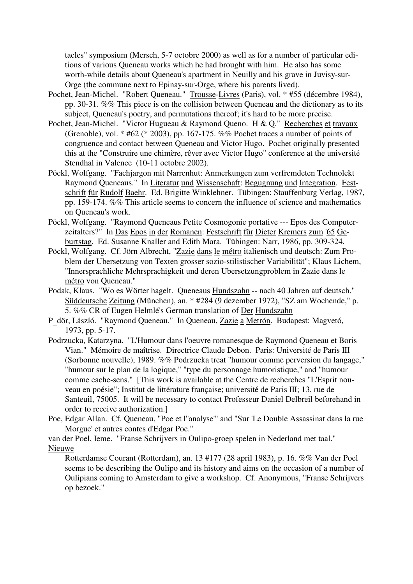tacles" symposium (Mersch, 5-7 octobre 2000) as well as for a number of particular editions of various Queneau works which he had brought with him. He also has some worth-while details about Queneau's apartment in Neuilly and his grave in Juvisy-sur-Orge (the commune next to Epinay-sur-Orge, where his parents lived).

- Pochet, Jean-Michel. "Robert Queneau." Trousse-Livres (Paris), vol. \* #55 (décembre 1984), pp. 30-31. %% This piece is on the collision between Queneau and the dictionary as to its subject, Queneau's poetry, and permutations thereof; it's hard to be more precise.
- Pochet, Jean-Michel. "Victor Hugueau & Raymond Queno. H & Q." Recherches et travaux (Grenoble), vol. \* #62 (\* 2003), pp. 167-175. %% Pochet traces a number of points of congruence and contact between Queneau and Victor Hugo. Pochet originally presented this at the "Construire une chimère, rêver avec Victor Hugo" conference at the université Stendhal in Valence (10-11 octobre 2002).
- Pöckl, Wolfgang. "Fachjargon mit Narrenhut: Anmerkungen zum verfremdeten Technolekt Raymond Queneaus." In Literatur und Wissenschaft: Begugnung und Integration. Festschrift für Rudolf Baehr. Ed. Brigitte Winklehner. Tübingen: Stauffenburg Verlag, 1987, pp. 159-174. %% This article seems to concern the influence of science and mathematics on Queneau's work.
- Pöckl, Wolfgang. "Raymond Queneaus Petite Cosmogonie portative --- Epos des Computerzeitalters?" In Das Epos in der Romanen: Festschrift für Dieter Kremers zum '65 Geburtstag. Ed. Susanne Knaller and Edith Mara. Tübingen: Narr, 1986, pp. 309-324.
- Pöckl, Wolfgang. Cf. Jörn Albrecht, "Zazie dans le métro italienisch und deutsch: Zum Problem der Ubersetzung von Texten grosser sozio-stilistischer Variabilität"; Klaus Lichem, "Innersprachliche Mehrsprachigkeit und deren Ubersetzungproblem in Zazie dans le métro von Queneau."
- Podak, Klaus. "Wo es Wörter hagelt. Queneaus Hundszahn -- nach 40 Jahren auf deutsch." Süddeutsche Zeitung (München), an. \* #284 (9 dezember 1972), "SZ am Wochende," p. 5. %% CR of Eugen Helmlé's German translation of Der Hundszahn
- <sup>P</sup>\_dör, László. "Raymond Queneau." In Queneau, Zazie a Metrón. Budapest: Magvetó, 1973, pp. 5-17.
- Podrzucka, Katarzyna. "L'Humour dans l'oeuvre romanesque de Raymond Queneau et Boris Vian." Mémoire de maîtrise. Directrice Claude Debon. Paris: Université de Paris III (Sorbonne nouvelle), 1989. %% Podrzucka treat "humour comme perversion du langage," "humour sur le plan de la logique," "type du personnage humoristique," and "humour comme cache-sens." [This work is available at the Centre de recherches "L'Esprit nouveau en poésie"; Institut de littérature française; université de Paris III; 13, rue de Santeuil, 75005. It will be necessary to contact Professeur Daniel Delbreil beforehand in order to receive authorization.]
- Poe, Edgar Allan. Cf. Queneau, "Poe et l''analyse'" and "Sur 'Le Double Assassinat dans la rue Morgue' et autres contes d'Edgar Poe."

van der Poel, Ieme. "Franse Schrijvers in Oulipo-groep spelen in Nederland met taal." Nieuwe

Rotterdamse Courant (Rotterdam), an. 13 #177 (28 april 1983), p. 16. %% Van der Poel seems to be describing the Oulipo and its history and aims on the occasion of a number of Oulipians coming to Amsterdam to give a workshop. Cf. Anonymous, "Franse Schrijvers op bezoek."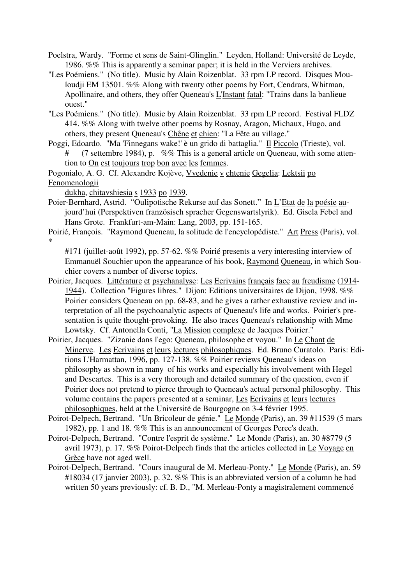Poelstra, Wardy. "Forme et sens de Saint-Glinglin." Leyden, Holland: Université de Leyde, 1986. %% This is apparently a seminar paper; it is held in the Verviers archives.

"Les Poémiens." (No title). Music by Alain Roizenblat. 33 rpm LP record. Disques Mouloudji EM 13501. %% Along with twenty other poems by Fort, Cendrars, Whitman, Apollinaire, and others, they offer Queneau's L'Instant fatal: "Trains dans la banlieue ouest."

"Les Poémiens." (No title). Music by Alain Roizenblat. 33 rpm LP record. Festival FLDZ 414. %% Along with twelve other poems by Rosnay, Aragon, Michaux, Hugo, and others, they present Queneau's Chêne et chien: "La Fête au village."

Poggi, Edoardo. "Ma 'Finnegans wake!' è un grido di battaglia." Il Piccolo (Trieste), vol. (7 settembre 1984), p.  $\%$  This is a general article on Queneau, with some attention to On est toujours trop bon avec les femmes.

Pogonialo, A. G. Cf. Alexandre Kojève, Vvedenie v chtenie Gegelia: Lektsii po Fenomenologii

dukha, chitavshiesia s 1933 po 1939.

- Poier-Bernhard, Astrid. "Oulipotische Rekurse auf das Sonett." In L'Etat de la poésie aujourd'hui (Perspektiven französisch spracher Gegenswartslyrik). Ed. Gisela Febel and Hans Grote. Frankfurt-am-Main: Lang, 2003, pp. 151-165.
- Poirié, François. "Raymond Queneau, la solitude de l'encyclopédiste." Art Press (Paris), vol. \*

#171 (juillet-août 1992), pp. 57-62. %% Poirié presents a very interesting interview of Emmanuël Souchier upon the appearance of his book, Raymond Queneau, in which Souchier covers a number of diverse topics.

- Poirier, Jacques. Littérature et psychanalyse: Les Ecrivains français face au freudisme (1914- 1944). Collection "Figures libres." Dijon: Editions universitaires de Dijon, 1998. %% Poirier considers Queneau on pp. 68-83, and he gives a rather exhaustive review and interpretation of all the psychoanalytic aspects of Queneau's life and works. Poirier's presentation is quite thought-provoking. He also traces Queneau's relationship with Mme Lowtsky. Cf. Antonella Conti, "La Mission complexe de Jacques Poirier."
- Poirier, Jacques. "Zizanie dans l'ego: Queneau, philosophe et voyou." In Le Chant de Minerve. Les Ecrivains et leurs lectures philosophiques. Ed. Bruno Curatolo. Paris: Editions L'Harmattan, 1996, pp. 127-138. %% Poirier reviews Queneau's ideas on philosophy as shown in many of his works and especially his involvement with Hegel and Descartes. This is a very thorough and detailed summary of the question, even if Poirier does not pretend to pierce through to Queneau's actual personal philosophy. This volume contains the papers presented at a seminar, Les Ecrivains et leurs lectures philosophiques, held at the Université de Bourgogne on 3-4 février 1995.
- Poirot-Delpech, Bertrand. "Un Bricoleur de génie." Le Monde (Paris), an. 39 #11539 (5 mars 1982), pp. 1 and 18. %% This is an announcement of Georges Perec's death.
- Poirot-Delpech, Bertrand. "Contre l'esprit de système." Le Monde (Paris), an. 30 #8779 (5 avril 1973), p. 17. %% Poirot-Delpech finds that the articles collected in Le Voyage en Grèce have not aged well.
- Poirot-Delpech, Bertrand. "Cours inaugural de M. Merleau-Ponty." Le Monde (Paris), an. 59 #18034 (17 janvier 2003), p. 32. %% This is an abbreviated version of a column he had written 50 years previously: cf. B. D., "M. Merleau-Ponty a magistralement commencé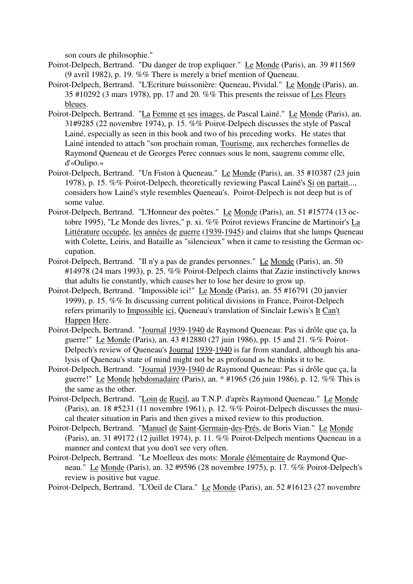son cours de philosophie."

- Poirot-Delpech, Bertrand. "Du danger de trop expliquer." Le Monde (Paris), an. 39 #11569 (9 avril 1982), p. 19. %% There is merely a brief mention of Queneau.
- Poirot-Delpech, Bertrand. "L'Ecriture buissonière: Queneau, Pividal." Le Monde (Paris), an. 35 #10292 (3 mars 1978), pp. 17 and 20. %% This presents the reissue of Les Fleurs bleues.
- Poirot-Delpech, Bertrand. "La Femme et ses images, de Pascal Lainé." Le Monde (Paris), an. 31#9285 (22 novembre 1974), p. 15. %% Poirot-Delpech discusses the style of Pascal Lainé, especially as seen in this book and two of his preceding works. He states that Lainé intended to attach "son prochain roman, Tourisme, aux recherches formelles de Raymond Queneau et de Georges Perec connues sous le nom, saugrenu comme elle, d'«Oulipo.»
- Poirot-Delpech, Bertrand. "Un Fiston à Queneau." Le Monde (Paris), an. 35 #10387 (23 juin 1978), p. 15. %% Poirot-Delpech, theoretically reviewing Pascal Lainé's Si on partait..., considers how Lainé's style resembles Queneau's. Poirot-Delpech is not deep but is of some value.
- Poirot-Delpech, Bertrand. "L'Honneur des poètes." Le Monde (Paris), an. 51 #15774 (13 octobre 1995), "Le Monde des livres," p. xi. %% Poirot reviews Francine de Martinoir's La Littérature occupée, les années de guerre (1939-1945) and claims that she lumps Queneau with Colette, Leiris, and Bataille as "silencieux" when it came to resisting the German occupation.
- Poirot-Delpech, Bertrand. "Il n'y a pas de grandes personnes." Le Monde (Paris), an. 50 #14978 (24 mars 1993), p. 25. %% Poirot-Delpech claims that Zazie instinctively knows that adults lie constantly, which causes her to lose her desire to grow up.
- Poirot-Delpech, Bertrand. "Impossible ici!" Le Monde (Paris), an. 55 #16791 (20 janvier 1999), p. 15. %% In discussing current political divisions in France, Poirot-Delpech refers primarily to Impossible ici, Queneau's translation of Sinclair Lewis's It Can't Happen Here.
- Poirot-Delpech, Bertrand. "Journal 1939-1940 de Raymond Queneau: Pas si drôle que ça, la guerre!" Le Monde (Paris), an. 43 #12880 (27 juin 1986), pp. 15 and 21. %% Poirot-Delpech's review of Queneau's Journal 1939-1940 is far from standard, although his analysis of Queneau's state of mind might not be as profound as he thinks it to be.
- Poirot-Delpech, Bertrand. "Journal 1939-1940 de Raymond Queneau: Pas si drôle que ça, la guerre!" Le Monde hebdomadaire (Paris), an. \* #1965 (26 juin 1986), p. 12. %% This is the same as the other.
- Poirot-Delpech, Bertrand. "Loin de Rueil, au T.N.P. d'après Raymond Queneau." Le Monde (Paris), an. 18 #5231 (11 novembre 1961), p. 12. %% Poirot-Delpech discusses the musical theater situation in Paris and then gives a mixed review to this production.
- Poirot-Delpech, Bertrand. "Manuel de Saint-Germain-des-Prés, de Boris Vian." Le Monde (Paris), an. 31 #9172 (12 juillet 1974), p. 11. %% Poirot-Delpech mentions Queneau in a manner and context that you don't see very often.
- Poirot-Delpech, Bertrand. "Le Moelleux des mots: Morale élémentaire de Raymond Queneau." Le Monde (Paris), an. 32 #9596 (28 novembre 1975), p. 17. %% Poirot-Delpech's review is positive but vague.
- Poirot-Delpech, Bertrand. "L'Oeil de Clara." Le Monde (Paris), an. 52 #16123 (27 novembre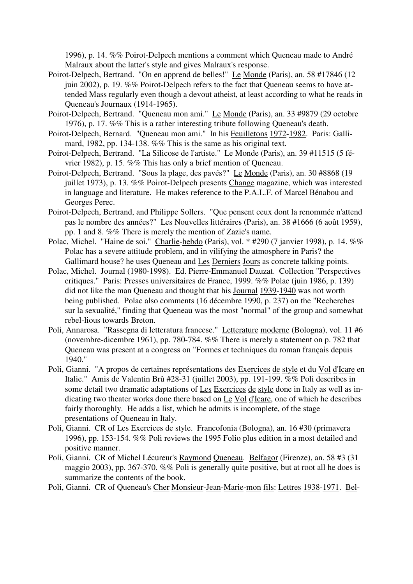1996), p. 14. %% Poirot-Delpech mentions a comment which Queneau made to André Malraux about the latter's style and gives Malraux's response.

- Poirot-Delpech, Bertrand. "On en apprend de belles!" Le Monde (Paris), an. 58 #17846 (12 juin 2002), p. 19. %% Poirot-Delpech refers to the fact that Queneau seems to have attended Mass regularly even though a devout atheist, at least according to what he reads in Queneau's Journaux (1914-1965).
- Poirot-Delpech, Bertrand. "Queneau mon ami." Le Monde (Paris), an. 33 #9879 (29 octobre 1976), p. 17. %% This is a rather interesting tribute following Queneau's death.
- Poirot-Delpech, Bernard. "Queneau mon ami." In his Feuilletons 1972-1982. Paris: Gallimard, 1982, pp. 134-138. %% This is the same as his original text.
- Poirot-Delpech, Bertrand. "La Silicose de l'artiste." Le Monde (Paris), an. 39 #11515 (5 février 1982), p. 15. %% This has only a brief mention of Queneau.
- Poirot-Delpech, Bertrand. "Sous la plage, des pavés?" Le Monde (Paris), an. 30 #8868 (19 juillet 1973), p. 13. %% Poirot-Delpech presents Change magazine, which was interested in language and literature. He makes reference to the P.A.L.F. of Marcel Bénabou and Georges Perec.
- Poirot-Delpech, Bertrand, and Philippe Sollers. "Que pensent ceux dont la renommée n'attend pas le nombre des années?" Les Nouvelles littéraires (Paris), an. 38 #1666 (6 août 1959), pp. 1 and 8. %% There is merely the mention of Zazie's name.
- Polac, Michel. "Haine de soi." Charlie-hebdo (Paris), vol. \* #290 (7 janvier 1998), p. 14. %% Polac has a severe attitude problem, and in vilifying the atmosphere in Paris? the Gallimard house? he uses Queneau and Les Derniers Jours as concrete talking points.
- Polac, Michel. Journal (1980-1998). Ed. Pierre-Emmanuel Dauzat. Collection "Perspectives critiques." Paris: Presses universitaires de France, 1999. %% Polac (juin 1986, p. 139) did not like the man Queneau and thought that his Journal 1939-1940 was not worth being published. Polac also comments (16 décembre 1990, p. 237) on the "Recherches sur la sexualité," finding that Queneau was the most "normal" of the group and somewhat rebel-lious towards Breton.
- Poli, Annarosa. "Rassegna di letteratura francese." Letterature moderne (Bologna), vol. 11 #6 (novembre-dicembre 1961), pp. 780-784. %% There is merely a statement on p. 782 that Queneau was present at a congress on "Formes et techniques du roman français depuis 1940."
- Poli, Gianni. "A propos de certaines représentations des Exercices de style et du Vol d'Icare en Italie." Amis de Valentin Brû #28-31 (juillet 2003), pp. 191-199. %% Poli describes in some detail two dramatic adaptations of Les Exercices de style done in Italy as well as indicating two theater works done there based on Le Vol d'Icare, one of which he describes fairly thoroughly. He adds a list, which he admits is incomplete, of the stage presentations of Queneau in Italy.
- Poli, Gianni. CR of Les Exercices de style. Francofonia (Bologna), an. 16 #30 (primavera 1996), pp. 153-154. %% Poli reviews the 1995 Folio plus edition in a most detailed and positive manner.
- Poli, Gianni. CR of Michel Lécureur's Raymond Queneau. Belfagor (Firenze), an. 58 #3 (31 maggio 2003), pp. 367-370. %% Poli is generally quite positive, but at root all he does is summarize the contents of the book.
- Poli, Gianni. CR of Queneau's Cher Monsieur-Jean-Marie-mon fils: Lettres 1938-1971. Bel-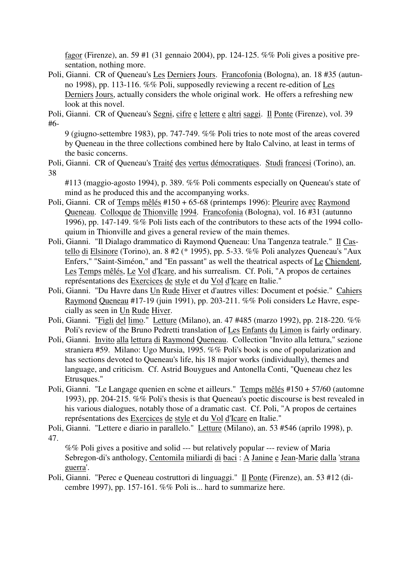fagor (Firenze), an. 59 #1 (31 gennaio 2004), pp. 124-125. %% Poli gives a positive presentation, nothing more.

Poli, Gianni. CR of Queneau's Les Derniers Jours. Francofonia (Bologna), an. 18 #35 (autunno 1998), pp. 113-116. %% Poli, supposedly reviewing a recent re-edition of Les Derniers Jours, actually considers the whole original work. He offers a refreshing new look at this novel.

Poli, Gianni. CR of Queneau's Segni, cifre e lettere e altri saggi. Il Ponte (Firenze), vol. 39 #6-

9 (giugno-settembre 1983), pp. 747-749. %% Poli tries to note most of the areas covered by Queneau in the three collections combined here by Italo Calvino, at least in terms of the basic concerns.

Poli, Gianni. CR of Queneau's Traité des vertus démocratiques. Studi francesi (Torino), an. 38

#113 (maggio-agosto 1994), p. 389. %% Poli comments especially on Queneau's state of mind as he produced this and the accompanying works.

- Poli, Gianni. CR of Temps mêlés #150 + 65-68 (printemps 1996): Pleurire avec Raymond Queneau. Colloque de Thionville 1994. Francofonia (Bologna), vol. 16 #31 (autunno 1996), pp. 147-149. %% Poli lists each of the contributors to these acts of the 1994 colloquium in Thionville and gives a general review of the main themes.
- Poli, Gianni. "Il Dialago drammatico di Raymond Queneau: Una Tangenza teatrale." Il Castello di Elsinore (Torino), an. 8 #2 (\* 1995), pp. 5-33. %% Poli analyzes Queneau's "Aux Enfers," "Saint-Siméon," and "En passant" as well the theatrical aspects of Le Chiendent, Les Temps mêlés, Le Vol d'Icare, and his surrealism. Cf. Poli, "A propos de certaines représentations des Exercices de style et du Vol d'Icare en Italie."
- Poli, Gianni. "Du Havre dans Un Rude Hiver et d'autres villes: Document et poésie." Cahiers Raymond Queneau #17-19 (juin 1991), pp. 203-211. %% Poli considers Le Havre, especially as seen in Un Rude Hiver.
- Poli, Gianni. "Figli del limo." Letture (Milano), an. 47 #485 (marzo 1992), pp. 218-220. %% Poli's review of the Bruno Pedretti translation of Les Enfants du Limon is fairly ordinary.
- Poli, Gianni. Invito alla lettura di Raymond Queneau. Collection "Invito alla lettura," sezione straniera #59. Milano: Ugo Mursia, 1995. %% Poli's book is one of popularization and has sections devoted to Queneau's life, his 18 major works (individually), themes and language, and criticism. Cf. Astrid Bouygues and Antonella Conti, "Queneau chez les Etrusques."
- Poli, Gianni. "Le Langage quenien en scène et ailleurs." Temps mêlés #150 + 57/60 (automne 1993), pp. 204-215. %% Poli's thesis is that Queneau's poetic discourse is best revealed in his various dialogues, notably those of a dramatic cast. Cf. Poli, "A propos de certaines représentations des Exercices de style et du Vol d'Icare en Italie."
- Poli, Gianni. "Lettere e diario in parallelo." Letture (Milano), an. 53 #546 (aprilo 1998), p. 47.

%% Poli gives a positive and solid --- but relatively popular --- review of Maria Sebregon-di's anthology, Centomila miliardi di baci : A Janine e Jean-Marie dalla 'strana guerra'.

Poli, Gianni. "Perec e Queneau costruttori di linguaggi." Il Ponte (Firenze), an. 53 #12 (dicembre 1997), pp. 157-161. %% Poli is... hard to summarize here.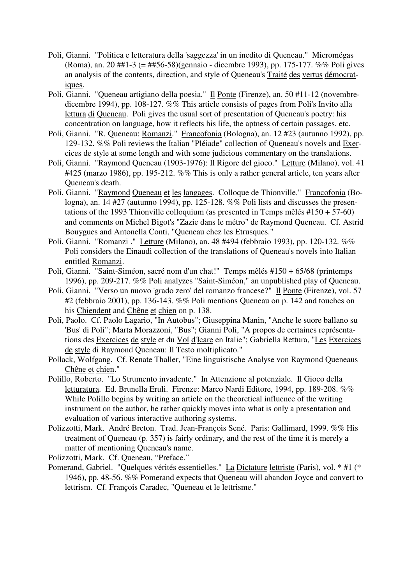- Poli, Gianni. "Politica e letteratura della 'saggezza' in un inedito di Queneau." Micromégas (Roma), an. 20 ##1-3 (= ##56-58)(gennaio - dicembre 1993), pp. 175-177. %% Poli gives an analysis of the contents, direction, and style of Queneau's Traité des vertus démocratiques.
- Poli, Gianni. "Queneau artigiano della poesia." Il Ponte (Firenze), an. 50 #11-12 (novembredicembre 1994), pp. 108-127. %% This article consists of pages from Poli's Invito alla lettura di Queneau. Poli gives the usual sort of presentation of Queneau's poetry: his concentration on language, how it reflects his life, the aptness of certain passages, etc.
- Poli, Gianni. "R. Queneau: Romanzi." Francofonia (Bologna), an. 12 #23 (autunno 1992), pp. 129-132. %% Poli reviews the Italian "Pléiade" collection of Queneau's novels and Exercices de style at some length and with some judicious commentary on the translations.
- Poli, Gianni. "Raymond Queneau (1903-1976): Il Rigore del gioco." Letture (Milano), vol. 41 #425 (marzo 1986), pp. 195-212. %% This is only a rather general article, ten years after Queneau's death.
- Poli, Gianni. "Raymond Queneau et les langages. Colloque de Thionville." Francofonia (Bologna), an.  $14 \#27$  (autunno 1994), pp. 125-128. %% Poli lists and discusses the presentations of the 1993 Thionville colloquium (as presented in Temps mêlés #150 + 57-60) and comments on Michel Bigot's "Zazie dans le métro" de Raymond Queneau. Cf. Astrid Bouygues and Antonella Conti, "Queneau chez les Etrusques."
- Poli, Gianni. "Romanzi ." Letture (Milano), an. 48 #494 (febbraio 1993), pp. 120-132. %% Poli considers the Einaudi collection of the translations of Queneau's novels into Italian entitled Romanzi.
- Poli, Gianni. "Saint-Siméon, sacré nom d'un chat!" Temps mêlés #150 + 65/68 (printemps 1996), pp. 209-217. %% Poli analyzes "Saint-Siméon," an unpublished play of Queneau.
- Poli, Gianni. "Verso un nuovo 'grado zero' del romanzo francese?" Il Ponte (Firenze), vol. 57 #2 (febbraio 2001), pp. 136-143. %% Poli mentions Queneau on p. 142 and touches on his Chiendent and Chêne et chien on p. 138.
- Poli, Paolo. Cf. Paolo Lagario, "In Autobus"; Giuseppina Manin, "Anche le suore ballano su 'Bus' di Poli"; Marta Morazzoni, "Bus"; Gianni Poli, "A propos de certaines représentations des Exercices de style et du Vol d'Icare en Italie"; Gabriella Rettura, "Les Exercices de style di Raymond Queneau: Il Testo moltiplicato."
- Pollack, Wolfgang. Cf. Renate Thaller, "Eine linguistische Analyse von Raymond Queneaus Chêne et chien."
- Polillo, Roberto. "Lo Strumento invadente." In Attenzione al potenziale. Il Gioco della letturatura. Ed. Brunella Eruli. Firenze: Marco Nardi Editore, 1994, pp. 189-208. %% While Polillo begins by writing an article on the theoretical influence of the writing instrument on the author, he rather quickly moves into what is only a presentation and evaluation of various interactive authoring systems.
- Polizzotti, Mark. André Breton. Trad. Jean-François Sené. Paris: Gallimard, 1999. %% His treatment of Queneau (p. 357) is fairly ordinary, and the rest of the time it is merely a matter of mentioning Queneau's name.

Polizzotti, Mark. Cf. Queneau, "Preface."

Pomerand, Gabriel. "Quelques vérités essentielles." La Dictature lettriste (Paris), vol. \* #1 (\* 1946), pp. 48-56. %% Pomerand expects that Queneau will abandon Joyce and convert to lettrism. Cf. François Caradec, "Queneau et le lettrisme."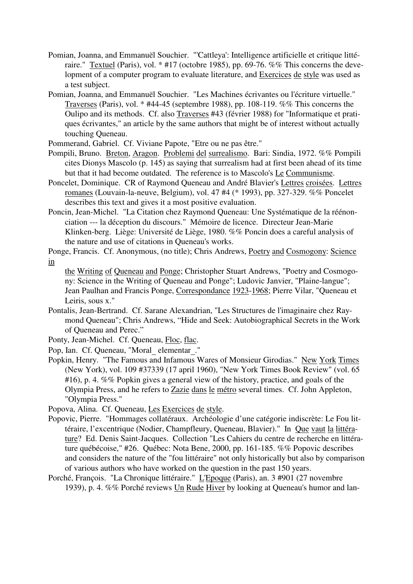- Pomian, Joanna, and Emmanuël Souchier. "'Cattleya': Intelligence artificielle et critique littéraire." Textuel (Paris), vol. \* #17 (octobre 1985), pp. 69-76. %% This concerns the development of a computer program to evaluate literature, and Exercices de style was used as a test subject.
- Pomian, Joanna, and Emmanuël Souchier. "Les Machines écrivantes ou l'écriture virtuelle." Traverses (Paris), vol. \* #44-45 (septembre 1988), pp. 108-119. %% This concerns the Oulipo and its methods. Cf. also Traverses #43 (février 1988) for "Informatique et pratiques écrivantes," an article by the same authors that might be of interest without actually touching Queneau.
- Pommerand, Gabriel. Cf. Viviane Papote, "Etre ou ne pas être."
- Pompili, Bruno. Breton, Aragon. Problemi del surrealismo. Bari: Sindia, 1972. %% Pompili cites Dionys Mascolo (p. 145) as saying that surrealism had at first been ahead of its time but that it had become outdated. The reference is to Mascolo's Le Communisme.
- Poncelet, Dominique. CR of Raymond Queneau and André Blavier's Lettres croisées. Lettres romanes (Louvain-la-neuve, Belgium), vol. 47 #4 (\* 1993), pp. 327-329. %% Poncelet describes this text and gives it a most positive evaluation.
- Poncin, Jean-Michel. "La Citation chez Raymond Queneau: Une Systématique de la réénonciation --- la déception du discours." Mémoire de licence. Directeur Jean-Marie Klinken-berg. Liège: Université de Liège, 1980. %% Poncin does a careful analysis of the nature and use of citations in Queneau's works.
- Ponge, Francis. Cf. Anonymous, (no title); Chris Andrews, Poetry and Cosmogony: Science in
	- the Writing of Queneau and Ponge; Christopher Stuart Andrews, "Poetry and Cosmogony: Science in the Writing of Queneau and Ponge"; Ludovic Janvier, "Plaine-langue"; Jean Paulhan and Francis Ponge, Correspondance 1923-1968; Pierre Vilar, "Queneau et Leiris, sous x."
- Pontalis, Jean-Bertrand. Cf. Sarane Alexandrian, "Les Structures de l'imaginaire chez Raymond Queneau"; Chris Andrews, "Hide and Seek: Autobiographical Secrets in the Work of Queneau and Perec."
- Ponty, Jean-Michel. Cf. Queneau, Floc, flac.
- Pop, Ian. Cf. Queneau, "Moral\_ elementar\_."
- Popkin, Henry. "The Famous and Infamous Wares of Monsieur Girodias." New York Times (New York), vol. 109 #37339 (17 april 1960), "New York Times Book Review" (vol. 65 #16), p. 4. %% Popkin gives a general view of the history, practice, and goals of the Olympia Press, and he refers to Zazie dans le métro several times. Cf. John Appleton, "Olympia Press."
- Popova, Alina. Cf. Queneau, Les Exercices de style.
- Popovic, Pierre. "Hommages collatéraux. Archéologie d'une catégorie indiscrète: Le Fou littéraire, l'excentrique (Nodier, Champfleury, Queneau, Blavier)." In Que vaut la littérature? Ed. Denis Saint-Jacques. Collection "Les Cahiers du centre de recherche en littérature québécoise," #26. Québec: Nota Bene, 2000, pp. 161-185. %% Popovic describes and considers the nature of the "fou littéraire" not only historically but also by comparison of various authors who have worked on the question in the past 150 years.
- Porché, François. "La Chronique littéraire." L'Epoque (Paris), an. 3 #901 (27 novembre 1939), p. 4. %% Porché reviews Un Rude Hiver by looking at Queneau's humor and lan-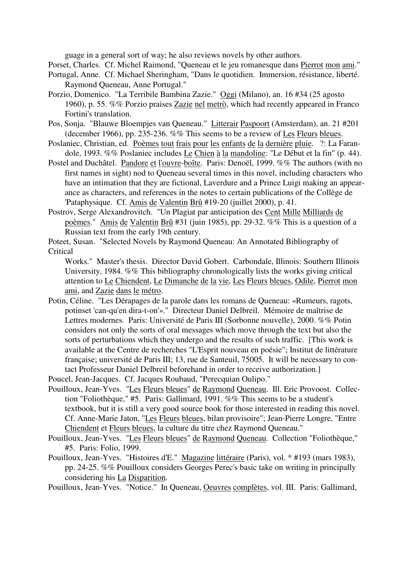guage in a general sort of way; he also reviews novels by other authors.

Porset, Charles. Cf. Michel Raimond, "Queneau et le jeu romanesque dans Pierrot mon ami."

- Portugal, Anne. Cf. Michael Sheringham, "Dans le quotidien. Immersion, résistance, liberté. Raymond Queneau, Anne Portugal."
- Porzio, Domenico. "La Terribile Bambina Zazie." Oggi (Milano), an. 16 #34 (25 agosto 1960), p. 55. %% Porzio praises Zazie nel metrò, which had recently appeared in Franco Fortini's translation.
- Pos, Sonja. "Blauwe Bloempjes van Queneau." Litterair Paspoort (Amsterdam), an. 21 #201 (december 1966), pp. 235-236. %% This seems to be a review of Les Fleurs bleues.
- Poslaniec, Christian, ed. Poèmes tout frais pour les enfants de la dernière pluie. ?: La Farandole, 1993. %% Poslaniec includes Le Chien à la mandoline: "Le Début et la fin" (p. 44).
- Postel and Duchâtel. Pandore et l'ouvre-boîte. Paris: Denoël, 1999. %% The authors (with no first names in sight) nod to Queneau several times in this novel, including characters who have an intimation that they are fictional, Laverdure and a Prince Luigi making an appearance as characters, and references in the notes to certain publications of the Collège de 'Pataphysique. Cf. Amis de Valentin Brû #19-20 (juillet 2000), p. 41.
- Postrov, Serge Alexandrovitch. "Un Plagiat par anticipation des Cent Mille Milliards de poèmes." Amis de Valentin Brû #31 (juin 1985), pp. 29-32.  $\sqrt[6]{\frac{6}{\sqrt[6]{\pi}}}$  This is a question of a Russian text from the early 19th century.
- Poteet, Susan. "Selected Novels by Raymond Queneau: An Annotated Bibliography of **Critical** 
	- Works." Master's thesis. Director David Gobert. Carbondale, Illinois: Southern Illinois University, 1984. %% This bibliography chronologically lists the works giving critical attention to Le Chiendent, Le Dimanche de la vie, Les Fleurs bleues, Odile, Pierrot mon ami, and Zazie dans le métro.
- Potin, Céline. "Les Dérapages de la parole dans les romans de Queneau: «Rumeurs, ragots, potinset 'can-qu'en dira-t-on'»." Directeur Daniel Delbreil. Mémoire de maîtrise de Lettres modernes. Paris: Université de Paris III (Sorbonne nouvelle), 2000. %% Potin considers not only the sorts of oral messages which move through the text but also the sorts of perturbations which they undergo and the results of such traffic. [This work is available at the Centre de recherches "L'Esprit nouveau en poésie"; Institut de littérature française; université de Paris III; 13, rue de Santeuil, 75005. It will be necessary to contact Professeur Daniel Delbreil beforehand in order to receive authorization.]

Poucel, Jean-Jacques. Cf. Jacques Roubaud, "Perecquian Oulipo."

- Pouilloux, Jean-Yves. "Les Fleurs bleues" de Raymond Queneau. Ill. Eric Provoost. Collection "Foliothèque," #5. Paris: Gallimard, 1991. %% This seems to be a student's textbook, but it is still a very good source book for those interested in reading this novel. Cf. Anne-Marie Jaton, "Les Fleurs bleues, bilan provisoire"; Jean-Pierre Longre, "Entre Chiendent et Fleurs bleues, la culture du titre chez Raymond Queneau."
- Pouilloux, Jean-Yves. "Les Fleurs bleues" de Raymond Queneau. Collection "Foliothèque," #5. Paris: Folio, 1999.
- Pouilloux, Jean-Yves. "Histoires d'E." Magazine littéraire (Paris), vol. \* #193 (mars 1983), pp. 24-25. %% Pouilloux considers Georges Perec's basic take on writing in principally considering his La Disparition.
- Pouilloux, Jean-Yves. "Notice." In Queneau, Oeuvres complètes, vol. III. Paris: Gallimard,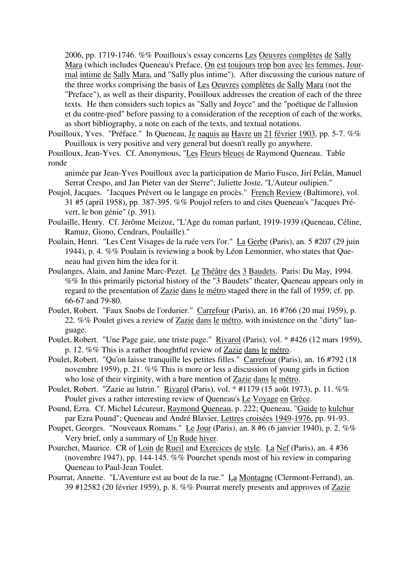2006, pp. 1719-1746. %% Pouilloux's essay concerns Les Oeuvres complètes de Sally Mara (which includes Queneau's Preface, On est toujours trop bon avec les femmes, Jourrnal intime de Sally Mara, and "Sally plus intime"). After discussing the curious nature of the three works comprising the basis of Les Oeuvres complètes de Sally Mara (not the "Preface"), as well as their disparity, Pouilloux addresses the creation of each of the three texts. He then considers such topics as "Sally and Joyce" and the "poétique de l'allusion et du contre-pied" before passing to a consideration of the reception of each of the works, as short bibliography, a note on each of the texts, and textual notations.

- Pouilloux, Yves. "Préface." In Queneau, Je naquis au Havre un 21 février 1903, pp. 5-7. %% Pouilloux is very positive and very general but doesn't really go anywhere.
- Pouilloux, Jean-Yves. Cf. Anonymous, "Les Fleurs bleues de Raymond Queneau. Table ronde

animée par Jean-Yves Pouilloux avec la participation de Mario Fusco, Jirí Pelán, Manuel Serrat Crespo, and Jan Pieter van der Sterre"; Juliette Joste, "L'Auteur oulipien."

- Poujol, Jacques. "Jacques Prévert ou le langage en procès." French Review (Baltimore), vol. 31 #5 (april 1958), pp. 387-395. %% Poujol refers to and cites Queneau's "Jacques Prévert, le bon génie" (p. 391).
- Poulaille, Henry. Cf. Jérôme Meizoz, "L'Age du roman parlant, 1919-1939 (Queneau, Céline, Ramuz, Giono, Cendrars, Poulaille)."
- Poulain, Henri. "Les Cent Visages de la ruée vers l'or." La Gerbe (Paris), an. 5 #207 (29 juin 1944), p. 4. %% Poulain is reviewing a book by Léon Lemonnier, who states that Queneau had given him the idea for it.
- Poulanges, Alain, and Janine Marc-Pezet. Le Théâtre des 3 Baudets. Paris: Du May, 1994. %% In this primarily pictorial history of the "3 Baudets" theater, Queneau appears only in regard to the presentation of Zazie dans le métro staged there in the fall of 1959; cf. pp. 66-67 and 79-80.
- Poulet, Robert. "Faux Snobs de l'ordurier." Carrefour (Paris), an. 16 #766 (20 mai 1959), p. 22. %% Poulet gives a review of Zazie dans le métro, with insistence on the "dirty" language.
- Poulet, Robert. "Une Page gaie, une triste page." Rivarol (Paris), vol. \* #426 (12 mars 1959), p. 12. %% This is a rather thoughtful review of Zazie dans le métro.
- Poulet, Robert. "Qu'on laisse tranquille les petites filles." Carrefour (Paris), an. 16 #792 (18 novembre 1959), p. 21. %% This is more or less a discussion of young girls in fiction who lose of their virginity, with a bare mention of Zazie dans le métro.
- Poulet, Robert. "Zazie au lutrin." Rivarol (Paris), vol. \* #1179 (15 août 1973), p. 11. %% Poulet gives a rather interesting review of Queneau's Le Voyage en Grèce.
- Pound, Ezra. Cf. Michel Lécureur, Raymond Queneau, p. 222; Queneau, "Guide to kulchur par Ezra Pound"; Queneau and André Blavier, Lettres croisées 1949-1976, pp. 91-93.
- Poupet, Georges. "Nouveaux Romans." Le Jour (Paris), an. 8 #6 (6 janvier 1940), p. 2. %% Very brief, only a summary of Un Rude hiver.
- Pourchet, Maurice. CR of Loin de Rueil and Exercices de style. La Nef (Paris), an. 4 #36 (novembre 1947), pp. 144-145. %% Pourchet spends most of his review in comparing Queneau to Paul-Jean Toulet.
- Pourrat, Annette. "L'Aventure est au bout de la rue." La Montagne (Clermont-Ferrand), an. 39 #12582 (20 février 1959), p. 8. %% Pourrat merely presents and approves of Zazie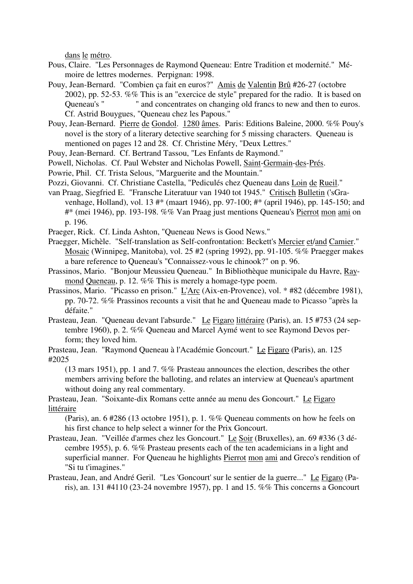dans le métro.

- Pous, Claire. "Les Personnages de Raymond Queneau: Entre Tradition et modernité." Mémoire de lettres modernes. Perpignan: 1998.
- Pouy, Jean-Bernard. "Combien ça fait en euros?" Amis de Valentin Brû #26-27 (octobre 2002), pp. 52-53. %% This is an "exercice de style" prepared for the radio. It is based on Queneau's " " and concentrates on changing old francs to new and then to euros. Cf. Astrid Bouygues, "Queneau chez les Papous."
- Pouy, Jean-Bernard. Pierre de Gondol. 1280 âmes. Paris: Editions Baleine, 2000. %% Pouy's novel is the story of a literary detective searching for 5 missing characters. Queneau is mentioned on pages 12 and 28. Cf. Christine Méry, "Deux Lettres."
- Pouy, Jean-Bernard. Cf. Bertrand Tassou, "Les Enfants de Raymond."
- Powell, Nicholas. Cf. Paul Webster and Nicholas Powell, Saint-Germain-des-Prés.
- Powrie, Phil. Cf. Trista Selous, "Marguerite and the Mountain."
- Pozzi, Giovanni. Cf. Christiane Castella, "Pediculés chez Queneau dans Loin de Rueil."
- van Praag, Siegfried E. "Fransche Literatuur van 1940 tot 1945." Critisch Bulletin ('sGravenhage, Holland), vol. 13 #\* (maart 1946), pp. 97-100; #\* (april 1946), pp. 145-150; and #\* (mei 1946), pp. 193-198. %% Van Praag just mentions Queneau's Pierrot mon ami on p. 196.
- Praeger, Rick. Cf. Linda Ashton, "Queneau News is Good News."
- Praegger, Michèle. "Self-translation as Self-confrontation: Beckett's Mercier et/and Camier." Mosaic (Winnipeg, Manitoba), vol. 25 #2 (spring 1992), pp. 91-105. %% Praegger makes a bare reference to Queneau's "Connaissez-vous le chinook?" on p. 96.
- Prassinos, Mario. "Bonjour Meussieu Queneau." In Bibliothèque municipale du Havre, Raymond Queneau, p. 12. %% This is merely a homage-type poem.
- Prassinos, Mario. "Picasso en prison." L'Arc (Aix-en-Provence), vol. \* #82 (décembre 1981), pp. 70-72. %% Prassinos recounts a visit that he and Queneau made to Picasso "après la défaite."
- Prasteau, Jean. "Queneau devant l'absurde." Le Figaro littéraire (Paris), an. 15 #753 (24 septembre 1960), p. 2. %% Queneau and Marcel Aymé went to see Raymond Devos perform; they loved him.
- Prasteau, Jean. "Raymond Queneau à l'Académie Goncourt." Le Figaro (Paris), an. 125 #2025

(13 mars 1951), pp. 1 and 7. %% Prasteau announces the election, describes the other members arriving before the balloting, and relates an interview at Queneau's apartment without doing any real commentary.

Prasteau, Jean. "Soixante-dix Romans cette année au menu des Goncourt." Le Figaro littéraire

(Paris), an. 6 #286 (13 octobre 1951), p. 1. %% Queneau comments on how he feels on his first chance to help select a winner for the Prix Goncourt.

- Prasteau, Jean. "Veillée d'armes chez les Goncourt." Le Soir (Bruxelles), an. 69 #336 (3 décembre 1955), p. 6. %% Prasteau presents each of the ten academicians in a light and superficial manner. For Queneau he highlights Pierrot mon ami and Greco's rendition of "Si tu t'imagines."
- Prasteau, Jean, and André Geril. "Les 'Goncourt' sur le sentier de la guerre..." Le Figaro (Paris), an. 131 #4110 (23-24 novembre 1957), pp. 1 and 15. %% This concerns a Goncourt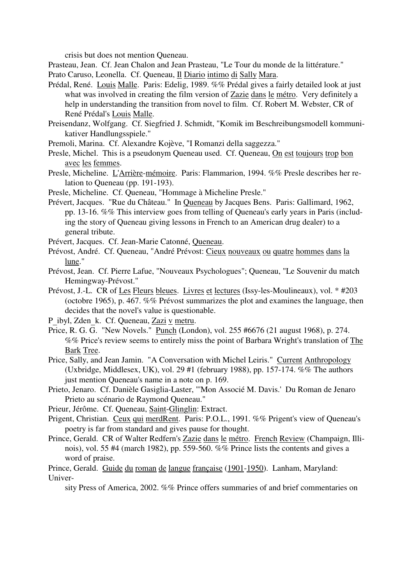crisis but does not mention Queneau.

Prasteau, Jean. Cf. Jean Chalon and Jean Prasteau, "Le Tour du monde de la littérature."

Prato Caruso, Leonella. Cf. Queneau, Il Diario intimo di Sally Mara.

- Prédal, René. Louis Malle. Paris: Edelig, 1989. %% Prédal gives a fairly detailed look at just what was involved in creating the film version of Zazie dans le métro. Very definitely a help in understanding the transition from novel to film. Cf. Robert M. Webster, CR of René Prédal's Louis Malle.
- Preisendanz, Wolfgang. Cf. Siegfried J. Schmidt, "Komik im Beschreibungsmodell kommunikativer Handlungsspiele."
- Premoli, Marina. Cf. Alexandre Kojève, "I Romanzi della saggezza."
- Presle, Michel. This is a pseudonym Queneau used. Cf. Queneau, On est toujours trop bon avec les femmes.
- Presle, Micheline. L'Arrière-mémoire. Paris: Flammarion, 1994. %% Presle describes her relation to Queneau (pp. 191-193).
- Presle, Micheline. Cf. Queneau, "Hommage à Micheline Presle."
- Prévert, Jacques. "Rue du Château." In Queneau by Jacques Bens. Paris: Gallimard, 1962, pp. 13-16. %% This interview goes from telling of Queneau's early years in Paris (including the story of Queneau giving lessons in French to an American drug dealer) to a general tribute.
- Prévert, Jacques. Cf. Jean-Marie Catonné, Queneau.
- Prévost, André. Cf. Queneau, "André Prévost: Cieux nouveaux ou quatre hommes dans la lune."
- Prévost, Jean. Cf. Pierre Lafue, "Nouveaux Psychologues"; Queneau, "Le Souvenir du match Hemingway-Prévost."
- Prévost, J.-L. CR of Les Fleurs bleues. Livres et lectures (Issy-les-Moulineaux), vol. \* #203 (octobre 1965), p. 467. %% Prévost summarizes the plot and examines the language, then decides that the novel's value is questionable.
- <sup>P</sup>\_ibyl, Zden\_k. Cf. Queneau, Zazi v metru.
- Price, R. G. G. "New Novels." Punch (London), vol. 255 #6676 (21 august 1968), p. 274. %% Price's review seems to entirely miss the point of Barbara Wright's translation of The Bark Tree.
- Price, Sally, and Jean Jamin. "A Conversation with Michel Leiris." Current Anthropology (Uxbridge, Middlesex, UK), vol. 29  $#1$  (february 1988), pp. 157-174. %% The authors just mention Queneau's name in a note on p. 169.
- Prieto, Jenaro. Cf. Danièle Gasiglia-Laster, "'Mon Associé M. Davis.' Du Roman de Jenaro Prieto au scénario de Raymond Queneau."

Prieur, Jérôme. Cf. Queneau, Saint-Glinglin: Extract.

- Prigent, Christian. Ceux qui merdRent. Paris: P.O.L., 1991. %% Prigent's view of Queneau's poetry is far from standard and gives pause for thought.
- Prince, Gerald. CR of Walter Redfern's Zazie dans le métro. French Review (Champaign, Illinois), vol. 55 #4 (march 1982), pp. 559-560. %% Prince lists the contents and gives a word of praise.

Prince, Gerald. Guide du roman de langue française (1901-1950). Lanham, Maryland: Univer-

sity Press of America, 2002. %% Prince offers summaries of and brief commentaries on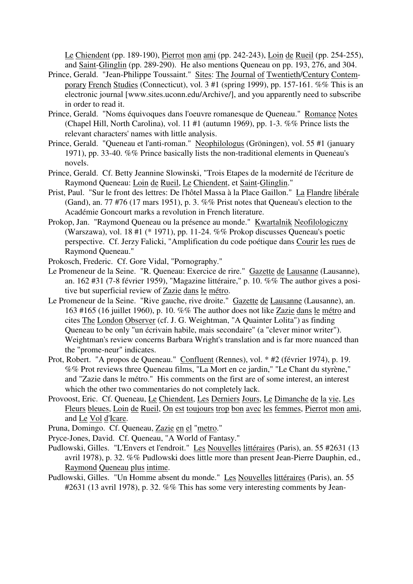Le Chiendent (pp. 189-190), Pierrot mon ami (pp. 242-243), Loin de Rueil (pp. 254-255), and Saint-Glinglin (pp. 289-290). He also mentions Queneau on pp. 193, 276, and 304.

- Prince, Gerald. "Jean-Philippe Toussaint." Sites: The Journal of Twentieth/Century Contemporary French Studies (Connecticut), vol. 3 #1 (spring 1999), pp. 157-161. %% This is an electronic journal [www.sites.uconn.edu/Archive/], and you apparently need to subscribe in order to read it.
- Prince, Gerald. "Noms équivoques dans l'oeuvre romanesque de Queneau." Romance Notes (Chapel Hill, North Carolina), vol. 11 #1 (autumn 1969), pp. 1-3. %% Prince lists the relevant characters' names with little analysis.
- Prince, Gerald. "Queneau et l'anti-roman." Neophilologus (Gröningen), vol. 55 #1 (january 1971), pp. 33-40. %% Prince basically lists the non-traditional elements in Queneau's novels.
- Prince, Gerald. Cf. Betty Jeannine Slowinski, "Trois Etapes de la modernité de l'écriture de Raymond Queneau: Loin de Rueil, Le Chiendent, et Saint-Glinglin."
- Prist, Paul. "Sur le front des lettres: De l'hôtel Massa à la Place Gaillon." La Flandre libérale (Gand), an. 77 #76 (17 mars 1951), p. 3. %% Prist notes that Queneau's election to the Académie Goncourt marks a revolution in French literature.
- Prokop, Jan. "Raymond Queneau ou la présence au monde." Kwartalnik Neofilologiczny (Warszawa), vol. 18 #1 (\* 1971), pp. 11-24. %% Prokop discusses Queneau's poetic perspective. Cf. Jerzy Falicki, "Amplification du code poétique dans Courir les rues de Raymond Queneau."
- Prokosch, Frederic. Cf. Gore Vidal, "Pornography."
- Le Promeneur de la Seine. "R. Queneau: Exercice de rire." Gazette de Lausanne (Lausanne), an. 162 #31 (7-8 février 1959), "Magazine littéraire," p. 10. %% The author gives a positive but superficial review of Zazie dans le métro.
- Le Promeneur de la Seine. "Rive gauche, rive droite." Gazette de Lausanne (Lausanne), an. 163 #165 (16 juillet 1960), p. 10. %% The author does not like Zazie dans le métro and cites The London Observer (cf. J. G. Weightman, "A Quainter Lolita") as finding Queneau to be only "un écrivain habile, mais secondaire" (a "clever minor writer"). Weightman's review concerns Barbara Wright's translation and is far more nuanced than the "prome-neur" indicates.
- Prot, Robert. "A propos de Queneau." Confluent (Rennes), vol. \* #2 (février 1974), p. 19. %% Prot reviews three Queneau films, "La Mort en ce jardin," "Le Chant du styrène," and "Zazie dans le métro." His comments on the first are of some interest, an interest which the other two commentaries do not completely lack.
- Provoost, Eric. Cf. Queneau, Le Chiendent, Les Derniers Jours, Le Dimanche de la vie, Les Fleurs bleues, Loin de Rueil, On est toujours trop bon avec les femmes, Pierrot mon ami, and Le Vol d'Icare.
- Pruna, Domingo. Cf. Queneau, Zazie en el "metro."
- Pryce-Jones, David. Cf. Queneau, "A World of Fantasy."
- Pudlowski, Gilles. "L'Envers et l'endroit." Les Nouvelles littéraires (Paris), an. 55 #2631 (13 avril 1978), p. 32. %% Pudlowski does little more than present Jean-Pierre Dauphin, ed., Raymond Queneau plus intime.
- Pudlowski, Gilles. "Un Homme absent du monde." Les Nouvelles littéraires (Paris), an. 55 #2631 (13 avril 1978), p. 32. %% This has some very interesting comments by Jean-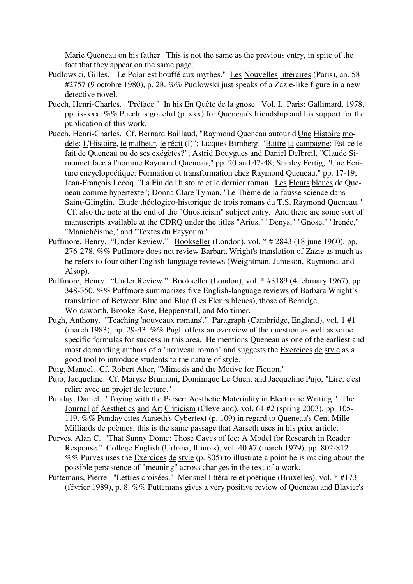Marie Queneau on his father. This is not the same as the previous entry, in spite of the fact that they appear on the same page.

- Pudlowski, Gilles. "Le Polar est bouffé aux mythes." Les Nouvelles littéraires (Paris), an. 58 #2757 (9 octobre 1980), p. 28. %% Pudlowski just speaks of a Zazie-like figure in a new detective novel.
- Puech, Henri-Charles. "Préface." In his En Quête de la gnose. Vol. I. Paris: Gallimard, 1978, pp. ix-xxx. %% Puech is grateful (p. xxx) for Queneau's friendship and his support for the publication of this work.
- Puech, Henri-Charles. Cf. Bernard Baillaud, "Raymond Queneau autour d'Une Histoire modèle: L'Histoire, le malheur, le récit (I)"; Jacques Birnberg, "Battre la campagne: Est-ce le fait de Queneau ou de ses exégètes?"; Astrid Bouygues and Daniel Delbreil, "Claude Simonnet face à l'homme Raymond Queneau," pp. 20 and 47-48; Stanley Fertig, "Une Ecriture encyclopoétique: Formation et transformation chez Raymond Queneau," pp. 17-19; Jean-François Lecoq, "La Fin de l'histoire et le dernier roman. Les Fleurs bleues de Queneau comme hypertexte"; Donna Clare Tyman, "Le Thème de la fausse science dans Saint-Glinglin. Etude théologico-historique de trois romans du T.S. Raymond Queneau." Cf. also the note at the end of the "Gnosticism" subject entry. And there are some sort of manuscripts available at the CDRQ under the titles "Arius," "Denys," "Gnose," "Irenée," "Manichéisme," and "Textes du Fayyoum."
- Puffmore, Henry. "Under Review." Bookseller (London), vol. \* # 2843 (18 june 1960), pp. 276-278. %% Puffmore does not review Barbara Wright's translation of Zazie as much as he refers to four other English-language reviews (Weightman, Jameson, Raymond, and Alsop).
- Puffmore, Henry. "Under Review." Bookseller (London), vol. \* #3189 (4 february 1967), pp. 348-350. %% Puffmore summarizes five English-language reviews of Barbara Wright's translation of Between Blue and Blue (Les Fleurs bleues), those of Berridge, Wordsworth, Brooke-Rose, Heppenstall, and Mortimer.
- Pugh, Anthony. "Teaching 'nouveaux romans'." Paragraph (Cambridge, England), vol. 1 #1 (march 1983), pp. 29-43. %% Pugh offers an overview of the question as well as some specific formulas for success in this area. He mentions Queneau as one of the earliest and most demanding authors of a "nouveau roman" and suggests the Exercices de style as a good tool to introduce students to the nature of style.
- Puig, Manuel. Cf. Robert Alter, "Mimesis and the Motive for Fiction."
- Pujo, Jacqueline. Cf. Maryse Brumoni, Dominique Le Guen, and Jacqueline Pujo, "Lire, c'est relire avec un projet de lecture."
- Punday, Daniel. "Toying with the Parser: Aesthetic Materiality in Electronic Writing." The Journal of Aesthetics and Art Criticism (Cleveland), vol. 61 #2 (spring 2003), pp. 105- 119. %% Punday cites Aarseth's Cybertext (p. 109) in regard to Queneau's Cent Mille Milliards de poèmes; this is the same passage that Aarseth uses in his prior article.
- Purves, Alan C. "That Sunny Dome: Those Caves of Ice: A Model for Research in Reader Response." College English (Urbana, Illinois), vol. 40 #7 (march 1979), pp. 802-812. %% Purves uses the Exercices de style (p. 805) to illustrate a point he is making about the possible persistence of "meaning" across changes in the text of a work.
- Puttemans, Pierre. "Lettres croisées." Mensuel littéraire et poétique (Bruxelles), vol. \* #173 (février 1989), p. 8. %% Puttemans gives a very positive review of Queneau and Blavier's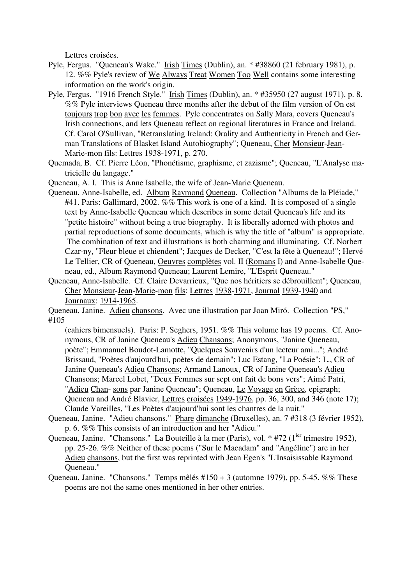Lettres croisées.

- Pyle, Fergus. "Queneau's Wake." Irish Times (Dublin), an. \* #38860 (21 february 1981), p. 12. %% Pyle's review of We Always Treat Women Too Well contains some interesting information on the work's origin.
- Pyle, Fergus. "1916 French Style." Irish Times (Dublin), an. \* #35950 (27 august 1971), p. 8. %% Pyle interviews Queneau three months after the debut of the film version of On est toujours trop bon avec les femmes. Pyle concentrates on Sally Mara, covers Queneau's Irish connections, and lets Queneau reflect on regional literatures in France and Ireland. Cf. Carol O'Sullivan, "Retranslating Ireland: Orality and Authenticity in French and German Translations of Blasket Island Autobiography"; Queneau, Cher Monsieur-Jean-Marie-mon fils: Lettres 1938-1971, p. 270.
- Quemada, B. Cf. Pierre Léon, "Phonétisme, graphisme, et zazisme"; Queneau, "L'Analyse matricielle du langage."
- Queneau, A. I. This is Anne Isabelle, the wife of Jean-Marie Queneau.
- Queneau, Anne-Isabelle, ed. Album Raymond Queneau. Collection "Albums de la Pléiade," #41. Paris: Gallimard, 2002. %% This work is one of a kind. It is composed of a single text by Anne-Isabelle Queneau which describes in some detail Queneau's life and its "petite histoire" without being a true biography. It is liberally adorned with photos and partial reproductions of some documents, which is why the title of "album" is appropriate. The combination of text and illustrations is both charming and illuminating. Cf. Norbert Czar-ny, "Fleur bleue et chiendent"; Jacques de Decker, "C'est la fête à Queneau!"; Hervé Le Tellier, CR of Queneau, Oeuvres complètes vol. II (Romans I) and Anne-Isabelle Queneau, ed., Album Raymond Queneau; Laurent Lemire, "L'Esprit Queneau."
- Queneau, Anne-Isabelle. Cf. Claire Devarrieux, "Que nos héritiers se débrouillent"; Queneau, Cher Monsieur-Jean-Marie-mon fils: Lettres 1938-1971, Journal 1939-1940 and Journaux: 1914-1965.
- Queneau, Janine. Adieu chansons. Avec une illustration par Joan Miró. Collection "PS," #105
	- (cahiers bimensuels). Paris: P. Seghers, 1951. %% This volume has 19 poems. Cf. Anonymous, CR of Janine Queneau's Adieu Chansons; Anonymous, "Janine Queneau, poète"; Emmanuel Boudot-Lamotte, "Quelques Souvenirs d'un lecteur ami..."; André Brissaud, "Poètes d'aujourd'hui, poètes de demain"; Luc Estang, "La Poésie"; L., CR of Janine Queneau's Adieu Chansons; Armand Lanoux, CR of Janine Queneau's Adieu Chansons; Marcel Lobet, "Deux Femmes sur sept ont fait de bons vers"; Aimé Patri, "Adieu Chan- sons par Janine Queneau"; Queneau, Le Voyage en Grèce, epigraph; Queneau and André Blavier, Lettres croisées 1949-1976, pp. 36, 300, and 346 (note 17); Claude Vareilles, "Les Poètes d'aujourd'hui sont les chantres de la nuit."
- Queneau, Janine. "Adieu chansons." Phare dimanche (Bruxelles), an. 7 #318 (3 février 1952), p. 6. %% This consists of an introduction and her "Adieu."
- Queneau, Janine. "Chansons." La Bouteille à la mer (Paris), vol. \* #72 (1<sup>ier</sup> trimestre 1952), pp. 25-26. %% Neither of these poems ("Sur le Macadam" and "Angéline") are in her Adieu chansons, but the first was reprinted with Jean Egen's "L'Insaisissable Raymond Queneau."
- Queneau, Janine. "Chansons." Temps mêlés #150 + 3 (automne 1979), pp. 5-45. %% These poems are not the same ones mentioned in her other entries.